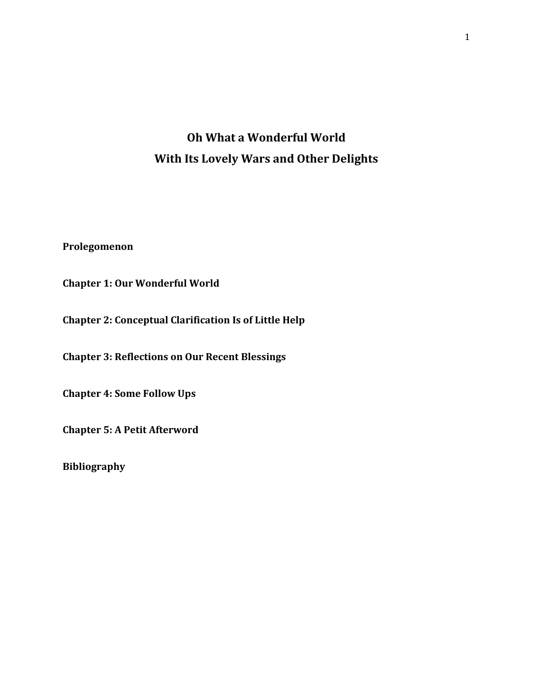# **Oh What a Wonderful World With Its Lovely Wars and Other Delights**

**Prolegomenon**

**Chapter 1: Our Wonderful World**

**Chapter 2: Conceptual Clarification Is of Little Help**

**Chapter 3: Reflections on Our Recent Blessings**

**Chapter 4: Some Follow Ups**

**Chapter 5: A Petit Afterword**

**Bibliography**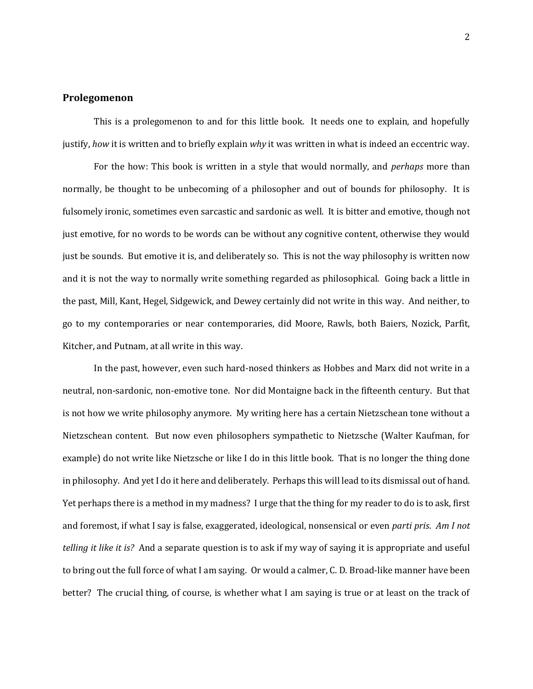### **Prolegomenon**

This is a prolegomenon to and for this little book. It needs one to explain, and hopefully justify, *how* it is written and to briefly explain *why* it was written in what is indeed an eccentric way.

For the how: This book is written in a style that would normally, and *perhaps* more than normally, be thought to be unbecoming of a philosopher and out of bounds for philosophy. It is fulsomely ironic, sometimes even sarcastic and sardonic as well. It is bitter and emotive, though not just emotive, for no words to be words can be without any cognitive content, otherwise they would just be sounds. But emotive it is, and deliberately so. This is not the way philosophy is written now and it is not the way to normally write something regarded as philosophical. Going back a little in the past, Mill, Kant, Hegel, Sidgewick, and Dewey certainly did not write in this way. And neither, to go to my contemporaries or near contemporaries, did Moore, Rawls, both Baiers, Nozick, Parfit, Kitcher, and Putnam, at all write in this way.

In the past, however, even such hard-nosed thinkers as Hobbes and Marx did not write in a neutral, non-sardonic, non-emotive tone. Nor did Montaigne back in the fifteenth century. But that is not how we write philosophy anymore. My writing here has a certain Nietzschean tone without a Nietzschean content. But now even philosophers sympathetic to Nietzsche (Walter Kaufman, for example) do not write like Nietzsche or like I do in this little book. That is no longer the thing done in philosophy. And yet I do it here and deliberately. Perhaps this will lead to its dismissal out of hand. Yet perhaps there is a method in my madness? I urge that the thing for my reader to do is to ask, first and foremost, if what I say is false, exaggerated, ideological, nonsensical or even *parti pris*. *Am I not telling it like it is?* And a separate question is to ask if my way of saying it is appropriate and useful to bring out the full force of what I am saying. Or would a calmer, C. D. Broad-like manner have been better? The crucial thing, of course, is whether what I am saying is true or at least on the track of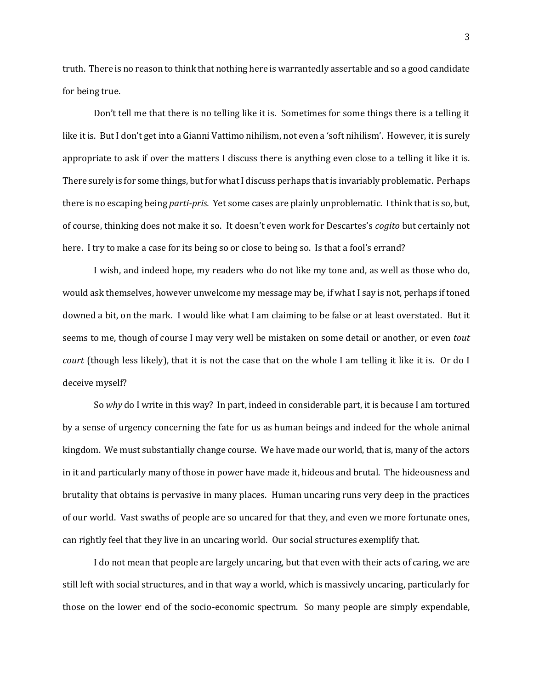truth. There is no reason to think that nothing here is warrantedly assertable and so a good candidate for being true.

Don't tell me that there is no telling like it is. Sometimes for some things there is a telling it like it is. But I don't get into a Gianni Vattimo nihilism, not even a 'soft nihilism'. However, it is surely appropriate to ask if over the matters I discuss there is anything even close to a telling it like it is. There surely is for some things, but for what I discuss perhaps that is invariably problematic. Perhaps there is no escaping being *parti-pris.* Yet some cases are plainly unproblematic. I think that is so, but, of course, thinking does not make it so. It doesn't even work for Descartes's *cogito* but certainly not here. I try to make a case for its being so or close to being so. Is that a fool's errand?

I wish, and indeed hope, my readers who do not like my tone and, as well as those who do, would ask themselves, however unwelcome my message may be, if what I say is not, perhaps if toned downed a bit, on the mark. I would like what I am claiming to be false or at least overstated. But it seems to me, though of course I may very well be mistaken on some detail or another, or even *tout court* (though less likely), that it is not the case that on the whole I am telling it like it is. Or do I deceive myself?

So *why* do I write in this way? In part, indeed in considerable part, it is because I am tortured by a sense of urgency concerning the fate for us as human beings and indeed for the whole animal kingdom. We must substantially change course. We have made our world, that is, many of the actors in it and particularly many of those in power have made it, hideous and brutal. The hideousness and brutality that obtains is pervasive in many places. Human uncaring runs very deep in the practices of our world. Vast swaths of people are so uncared for that they, and even we more fortunate ones, can rightly feel that they live in an uncaring world. Our social structures exemplify that.

I do not mean that people are largely uncaring, but that even with their acts of caring, we are still left with social structures, and in that way a world, which is massively uncaring, particularly for those on the lower end of the socio-economic spectrum. So many people are simply expendable,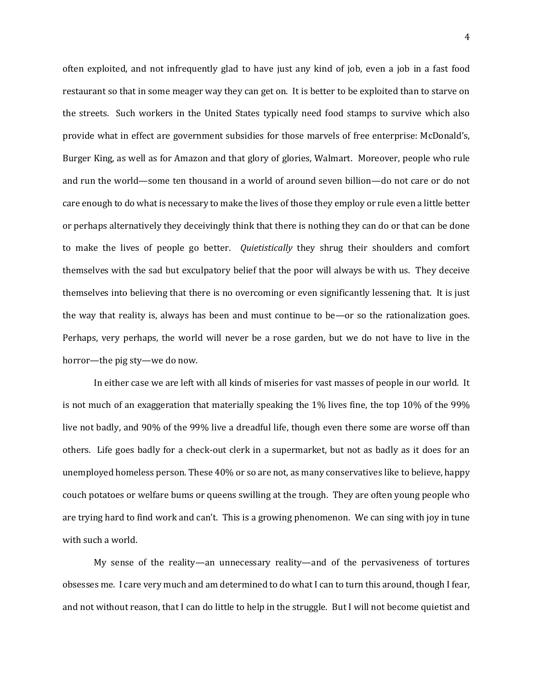often exploited, and not infrequently glad to have just any kind of job, even a job in a fast food restaurant so that in some meager way they can get on. It is better to be exploited than to starve on the streets. Such workers in the United States typically need food stamps to survive which also provide what in effect are government subsidies for those marvels of free enterprise: McDonald's, Burger King, as well as for Amazon and that glory of glories, Walmart. Moreover, people who rule and run the world—some ten thousand in a world of around seven billion—do not care or do not care enough to do what is necessary to make the lives of those they employ or rule even a little better or perhaps alternatively they deceivingly think that there is nothing they can do or that can be done to make the lives of people go better. *Quietistically* they shrug their shoulders and comfort themselves with the sad but exculpatory belief that the poor will always be with us. They deceive themselves into believing that there is no overcoming or even significantly lessening that. It is just the way that reality is, always has been and must continue to be—or so the rationalization goes. Perhaps, very perhaps, the world will never be a rose garden, but we do not have to live in the horror—the pig sty—we do now.

In either case we are left with all kinds of miseries for vast masses of people in our world. It is not much of an exaggeration that materially speaking the 1% lives fine, the top 10% of the 99% live not badly, and 90% of the 99% live a dreadful life, though even there some are worse off than others. Life goes badly for a check-out clerk in a supermarket, but not as badly as it does for an unemployed homeless person. These 40% or so are not, as many conservatives like to believe, happy couch potatoes or welfare bums or queens swilling at the trough. They are often young people who are trying hard to find work and can't. This is a growing phenomenon. We can sing with joy in tune with such a world.

My sense of the reality—an unnecessary reality—and of the pervasiveness of tortures obsesses me. I care very much and am determined to do what I can to turn this around, though I fear, and not without reason, that I can do little to help in the struggle. But I will not become quietist and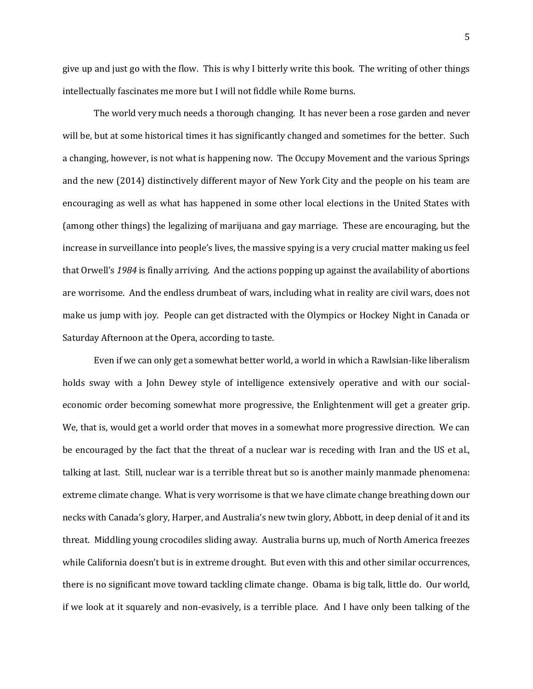give up and just go with the flow. This is why I bitterly write this book. The writing of other things intellectually fascinates me more but I will not fiddle while Rome burns.

The world very much needs a thorough changing. It has never been a rose garden and never will be, but at some historical times it has significantly changed and sometimes for the better. Such a changing, however, is not what is happening now. The Occupy Movement and the various Springs and the new (2014) distinctively different mayor of New York City and the people on his team are encouraging as well as what has happened in some other local elections in the United States with (among other things) the legalizing of marijuana and gay marriage. These are encouraging, but the increase in surveillance into people's lives, the massive spying is a very crucial matter making us feel that Orwell's *1984* is finally arriving. And the actions popping up against the availability of abortions are worrisome. And the endless drumbeat of wars, including what in reality are civil wars, does not make us jump with joy. People can get distracted with the Olympics or Hockey Night in Canada or Saturday Afternoon at the Opera, according to taste.

Even if we can only get a somewhat better world, a world in which a Rawlsian-like liberalism holds sway with a John Dewey style of intelligence extensively operative and with our socialeconomic order becoming somewhat more progressive, the Enlightenment will get a greater grip. We, that is, would get a world order that moves in a somewhat more progressive direction. We can be encouraged by the fact that the threat of a nuclear war is receding with Iran and the US et al., talking at last. Still, nuclear war is a terrible threat but so is another mainly manmade phenomena: extreme climate change. What is very worrisome is that we have climate change breathing down our necks with Canada's glory, Harper, and Australia's new twin glory, Abbott, in deep denial of it and its threat. Middling young crocodiles sliding away. Australia burns up, much of North America freezes while California doesn't but is in extreme drought. But even with this and other similar occurrences, there is no significant move toward tackling climate change. Obama is big talk, little do. Our world, if we look at it squarely and non-evasively, is a terrible place. And I have only been talking of the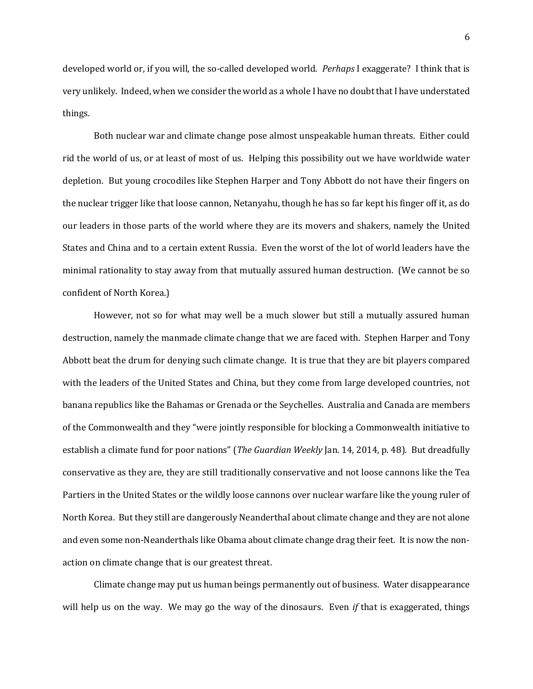developed world or, if you will, the so-called developed world. *Perhaps* I exaggerate? I think that is very unlikely. Indeed, when we consider the world as a whole I have no doubt that I have understated things.

Both nuclear war and climate change pose almost unspeakable human threats. Either could rid the world of us, or at least of most of us. Helping this possibility out we have worldwide water depletion. But young crocodiles like Stephen Harper and Tony Abbott do not have their fingers on the nuclear trigger like that loose cannon, Netanyahu, though he has so far kept his finger off it, as do our leaders in those parts of the world where they are its movers and shakers, namely the United States and China and to a certain extent Russia. Even the worst of the lot of world leaders have the minimal rationality to stay away from that mutually assured human destruction. (We cannot be so confident of North Korea.)

However, not so for what may well be a much slower but still a mutually assured human destruction, namely the manmade climate change that we are faced with. Stephen Harper and Tony Abbott beat the drum for denying such climate change. It is true that they are bit players compared with the leaders of the United States and China, but they come from large developed countries, not banana republics like the Bahamas or Grenada or the Seychelles. Australia and Canada are members of the Commonwealth and they "were jointly responsible for blocking a Commonwealth initiative to establish a climate fund for poor nations" (*The Guardian Weekly* Jan. 14, 2014, p. 48). But dreadfully conservative as they are, they are still traditionally conservative and not loose cannons like the Tea Partiers in the United States or the wildly loose cannons over nuclear warfare like the young ruler of North Korea. But they still are dangerously Neanderthal about climate change and they are not alone and even some non-Neanderthals like Obama about climate change drag their feet. It is now the nonaction on climate change that is our greatest threat.

Climate change may put us human beings permanently out of business. Water disappearance will help us on the way. We may go the way of the dinosaurs. Even *if* that is exaggerated, things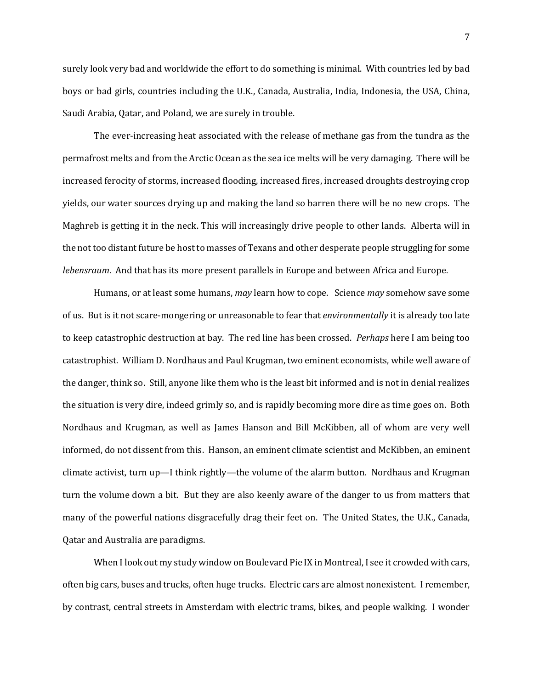surely look very bad and worldwide the effort to do something is minimal. With countries led by bad boys or bad girls, countries including the U.K., Canada, Australia, India, Indonesia, the USA, China, Saudi Arabia, Qatar, and Poland, we are surely in trouble.

The ever-increasing heat associated with the release of methane gas from the tundra as the permafrost melts and from the Arctic Ocean as the sea ice melts will be very damaging. There will be increased ferocity of storms, increased flooding, increased fires, increased droughts destroying crop yields, our water sources drying up and making the land so barren there will be no new crops. The Maghreb is getting it in the neck. This will increasingly drive people to other lands. Alberta will in the not too distant future be host to masses of Texans and other desperate people struggling for some *lebensraum*. And that has its more present parallels in Europe and between Africa and Europe.

Humans, or at least some humans, *may* learn how to cope. Science *may* somehow save some of us. But is it not scare-mongering or unreasonable to fear that *environmentally* it is already too late to keep catastrophic destruction at bay. The red line has been crossed. *Perhaps* here I am being too catastrophist. William D. Nordhaus and Paul Krugman, two eminent economists, while well aware of the danger, think so. Still, anyone like them who is the least bit informed and is not in denial realizes the situation is very dire, indeed grimly so, and is rapidly becoming more dire as time goes on. Both Nordhaus and Krugman, as well as James Hanson and Bill McKibben, all of whom are very well informed, do not dissent from this. Hanson, an eminent climate scientist and McKibben, an eminent climate activist, turn up—I think rightly—the volume of the alarm button. Nordhaus and Krugman turn the volume down a bit. But they are also keenly aware of the danger to us from matters that many of the powerful nations disgracefully drag their feet on. The United States, the U.K., Canada, Qatar and Australia are paradigms.

When I look out my study window on Boulevard Pie IX in Montreal, I see it crowded with cars, often big cars, buses and trucks, often huge trucks. Electric cars are almost nonexistent. I remember, by contrast, central streets in Amsterdam with electric trams, bikes, and people walking. I wonder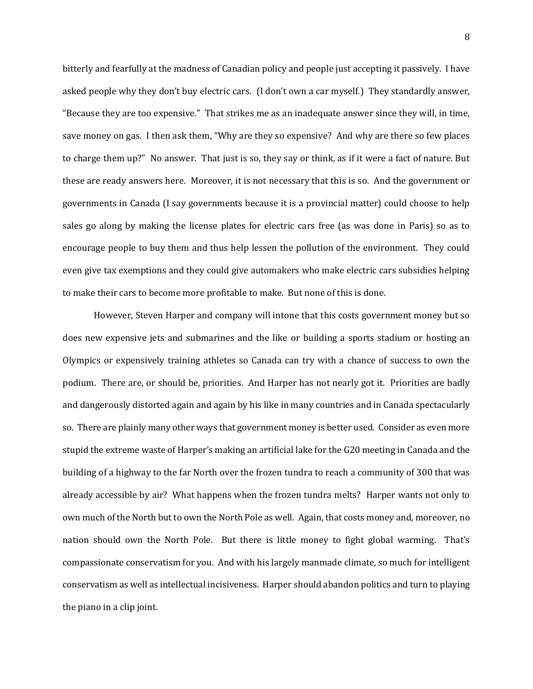bitterly and fearfully at the madness of Canadian policy and people just accepting it passively. I have asked people why they don't buy electric cars. (I don't own a car myself.) They standardly answer, "Because they are too expensive." That strikes me as an inadequate answer since they will, in time, save money on gas. I then ask them, "Why are they so expensive? And why are there so few places to charge them up?" No answer. That just is so, they say or think, as if it were a fact of nature. But these are ready answers here. Moreover, it is not necessary that this is so. And the government or governments in Canada (I say governments because it is a provincial matter) could choose to help sales go along by making the license plates for electric cars free (as was done in Paris) so as to encourage people to buy them and thus help lessen the pollution of the environment. They could even give tax exemptions and they could give automakers who make electric cars subsidies helping to make their cars to become more profitable to make. But none of this is done.

However, Steven Harper and company will intone that this costs government money but so does new expensive jets and submarines and the like or building a sports stadium or hosting an Olympics or expensively training athletes so Canada can try with a chance of success to own the podium. There are, or should be, priorities. And Harper has not nearly got it. Priorities are badly and dangerously distorted again and again by his like in many countries and in Canada spectacularly so. There are plainly many other ways that government money is better used. Consider as even more stupid the extreme waste of Harper's making an artificial lake for the G20 meeting in Canada and the building of a highway to the far North over the frozen tundra to reach a community of 300 that was already accessible by air? What happens when the frozen tundra melts? Harper wants not only to own much of the North but to own the North Pole as well. Again, that costs money and, moreover, no nation should own the North Pole. But there is little money to fight global warming. That's compassionate conservatism for you. And with his largely manmade climate, so much for intelligent conservatism as well as intellectual incisiveness. Harper should abandon politics and turn to playing the piano in a clip joint.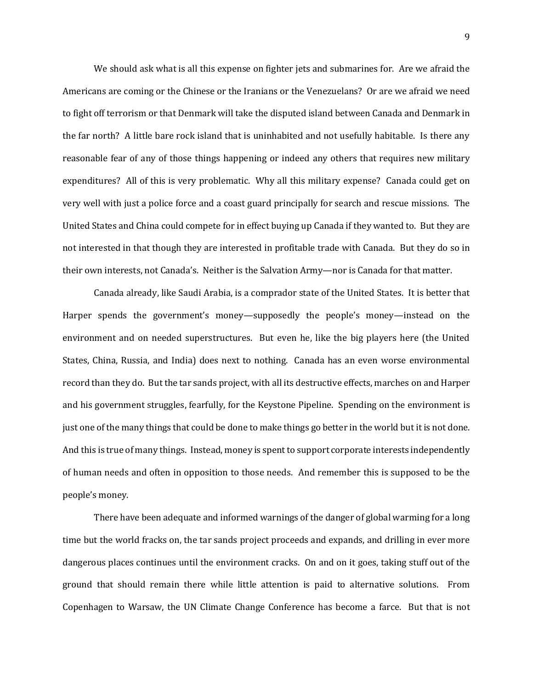We should ask what is all this expense on fighter jets and submarines for. Are we afraid the Americans are coming or the Chinese or the Iranians or the Venezuelans? Or are we afraid we need to fight off terrorism or that Denmark will take the disputed island between Canada and Denmark in the far north? A little bare rock island that is uninhabited and not usefully habitable. Is there any reasonable fear of any of those things happening or indeed any others that requires new military expenditures? All of this is very problematic. Why all this military expense? Canada could get on very well with just a police force and a coast guard principally for search and rescue missions. The United States and China could compete for in effect buying up Canada if they wanted to. But they are not interested in that though they are interested in profitable trade with Canada. But they do so in their own interests, not Canada's. Neither is the Salvation Army—nor is Canada for that matter.

Canada already, like Saudi Arabia, is a comprador state of the United States. It is better that Harper spends the government's money—supposedly the people's money—instead on the environment and on needed superstructures. But even he, like the big players here (the United States, China, Russia, and India) does next to nothing. Canada has an even worse environmental record than they do. But the tar sands project, with all its destructive effects, marches on and Harper and his government struggles, fearfully, for the Keystone Pipeline. Spending on the environment is just one of the many things that could be done to make things go better in the world but it is not done. And this is true of many things. Instead, money is spent to support corporate interests independently of human needs and often in opposition to those needs. And remember this is supposed to be the people's money.

There have been adequate and informed warnings of the danger of global warming for a long time but the world fracks on, the tar sands project proceeds and expands, and drilling in ever more dangerous places continues until the environment cracks. On and on it goes, taking stuff out of the ground that should remain there while little attention is paid to alternative solutions. From Copenhagen to Warsaw, the UN Climate Change Conference has become a farce. But that is not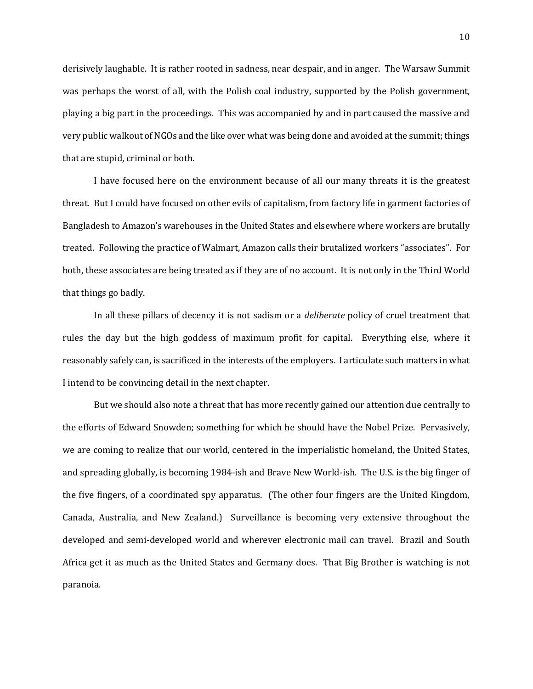derisively laughable. It is rather rooted in sadness, near despair, and in anger. The Warsaw Summit was perhaps the worst of all, with the Polish coal industry, supported by the Polish government, playing a big part in the proceedings. This was accompanied by and in part caused the massive and very public walkout of NGOs and the like over what was being done and avoided at the summit; things that are stupid, criminal or both.

I have focused here on the environment because of all our many threats it is the greatest threat. But I could have focused on other evils of capitalism, from factory life in garment factories of Bangladesh to Amazon's warehouses in the United States and elsewhere where workers are brutally treated. Following the practice of Walmart, Amazon calls their brutalized workers "associates". For both, these associates are being treated as if they are of no account. It is not only in the Third World that things go badly.

In all these pillars of decency it is not sadism or a *deliberate* policy of cruel treatment that rules the day but the high goddess of maximum profit for capital. Everything else, where it reasonably safely can, is sacrificed in the interests of the employers. I articulate such matters in what I intend to be convincing detail in the next chapter.

But we should also note a threat that has more recently gained our attention due centrally to the efforts of Edward Snowden; something for which he should have the Nobel Prize. Pervasively, we are coming to realize that our world, centered in the imperialistic homeland, the United States, and spreading globally, is becoming 1984-ish and Brave New World-ish. The U.S. is the big finger of the five fingers, of a coordinated spy apparatus. (The other four fingers are the United Kingdom, Canada, Australia, and New Zealand.) Surveillance is becoming very extensive throughout the developed and semi-developed world and wherever electronic mail can travel. Brazil and South Africa get it as much as the United States and Germany does. That Big Brother is watching is not paranoia.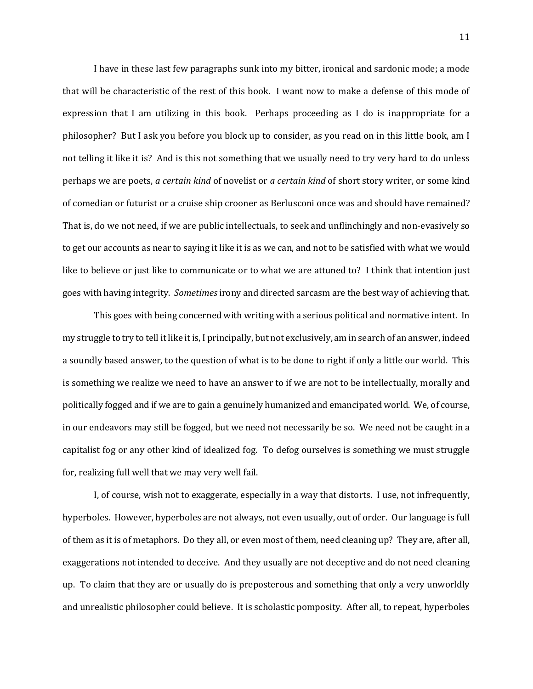I have in these last few paragraphs sunk into my bitter, ironical and sardonic mode; a mode that will be characteristic of the rest of this book. I want now to make a defense of this mode of expression that I am utilizing in this book. Perhaps proceeding as I do is inappropriate for a philosopher? But I ask you before you block up to consider, as you read on in this little book, am I not telling it like it is? And is this not something that we usually need to try very hard to do unless perhaps we are poets, *a certain kind* of novelist or *a certain kind* of short story writer, or some kind of comedian or futurist or a cruise ship crooner as Berlusconi once was and should have remained? That is, do we not need, if we are public intellectuals, to seek and unflinchingly and non-evasively so to get our accounts as near to saying it like it is as we can, and not to be satisfied with what we would like to believe or just like to communicate or to what we are attuned to? I think that intention just goes with having integrity. *Sometimes* irony and directed sarcasm are the best way of achieving that.

This goes with being concerned with writing with a serious political and normative intent. In my struggle to try to tell itlike it is, I principally, but not exclusively, am in search of an answer, indeed a soundly based answer, to the question of what is to be done to right if only a little our world. This is something we realize we need to have an answer to if we are not to be intellectually, morally and politically fogged and if we are to gain a genuinely humanized and emancipated world. We, of course, in our endeavors may still be fogged, but we need not necessarily be so. We need not be caught in a capitalist fog or any other kind of idealized fog. To defog ourselves is something we must struggle for, realizing full well that we may very well fail.

I, of course, wish not to exaggerate, especially in a way that distorts. I use, not infrequently, hyperboles. However, hyperboles are not always, not even usually, out of order. Our language is full of them as it is of metaphors. Do they all, or even most of them, need cleaning up? They are, after all, exaggerations not intended to deceive. And they usually are not deceptive and do not need cleaning up. To claim that they are or usually do is preposterous and something that only a very unworldly and unrealistic philosopher could believe. It is scholastic pomposity. After all, to repeat, hyperboles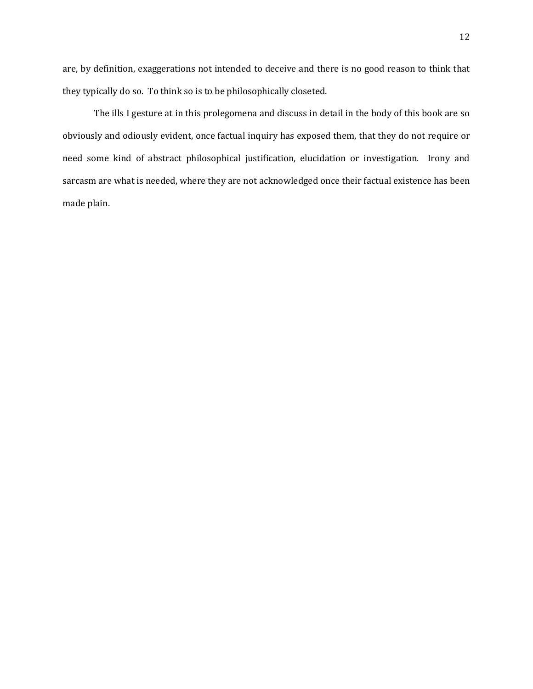are, by definition, exaggerations not intended to deceive and there is no good reason to think that they typically do so. To think so is to be philosophically closeted.

The ills I gesture at in this prolegomena and discuss in detail in the body of this book are so obviously and odiously evident, once factual inquiry has exposed them, that they do not require or need some kind of abstract philosophical justification, elucidation or investigation. Irony and sarcasm are what is needed, where they are not acknowledged once their factual existence has been made plain.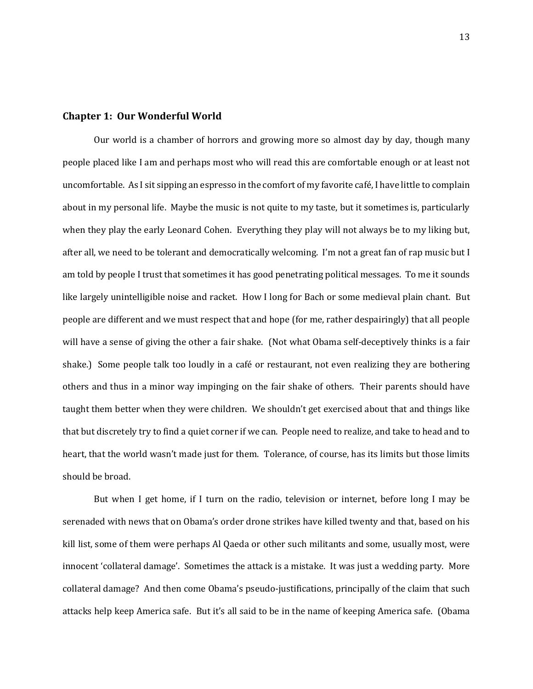#### **Chapter 1: Our Wonderful World**

Our world is a chamber of horrors and growing more so almost day by day, though many people placed like I am and perhaps most who will read this are comfortable enough or at least not uncomfortable. As I sit sipping an espresso in the comfort of my favorite café, I have little to complain about in my personal life. Maybe the music is not quite to my taste, but it sometimes is, particularly when they play the early Leonard Cohen. Everything they play will not always be to my liking but, after all, we need to be tolerant and democratically welcoming. I'm not a great fan of rap music but I am told by people I trust that sometimes it has good penetrating political messages. To me it sounds like largely unintelligible noise and racket. How I long for Bach or some medieval plain chant. But people are different and we must respect that and hope (for me, rather despairingly) that all people will have a sense of giving the other a fair shake. (Not what Obama self-deceptively thinks is a fair shake.) Some people talk too loudly in a café or restaurant, not even realizing they are bothering others and thus in a minor way impinging on the fair shake of others. Their parents should have taught them better when they were children. We shouldn't get exercised about that and things like that but discretely try to find a quiet corner if we can. People need to realize, and take to head and to heart, that the world wasn't made just for them. Tolerance, of course, has its limits but those limits should be broad.

But when I get home, if I turn on the radio, television or internet, before long I may be serenaded with news that on Obama's order drone strikes have killed twenty and that, based on his kill list, some of them were perhaps Al Qaeda or other such militants and some, usually most, were innocent 'collateral damage'. Sometimes the attack is a mistake. It was just a wedding party. More collateral damage? And then come Obama's pseudo-justifications, principally of the claim that such attacks help keep America safe. But it's all said to be in the name of keeping America safe. (Obama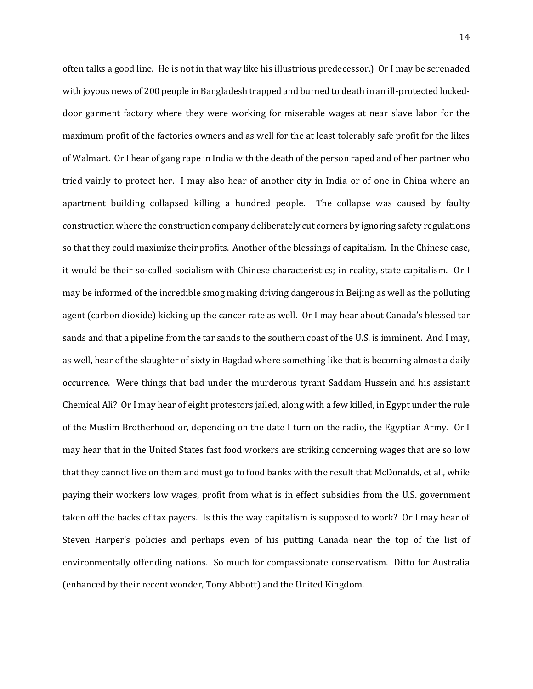often talks a good line. He is not in that way like his illustrious predecessor.) Or I may be serenaded with joyous news of 200 people in Bangladesh trapped and burned to death in an ill-protected lockeddoor garment factory where they were working for miserable wages at near slave labor for the maximum profit of the factories owners and as well for the at least tolerably safe profit for the likes of Walmart. Or I hear of gang rape in India with the death of the person raped and of her partner who tried vainly to protect her. I may also hear of another city in India or of one in China where an apartment building collapsed killing a hundred people. The collapse was caused by faulty construction where the construction company deliberately cut corners by ignoring safety regulations so that they could maximize their profits. Another of the blessings of capitalism. In the Chinese case, it would be their so-called socialism with Chinese characteristics; in reality, state capitalism. Or I may be informed of the incredible smog making driving dangerous in Beijing as well as the polluting agent (carbon dioxide) kicking up the cancer rate as well. Or I may hear about Canada's blessed tar sands and that a pipeline from the tar sands to the southern coast of the U.S. is imminent. And I may, as well, hear of the slaughter of sixty in Bagdad where something like that is becoming almost a daily occurrence. Were things that bad under the murderous tyrant Saddam Hussein and his assistant Chemical Ali? Or I may hear of eight protestors jailed, along with a few killed, in Egypt under the rule of the Muslim Brotherhood or, depending on the date I turn on the radio, the Egyptian Army. Or I may hear that in the United States fast food workers are striking concerning wages that are so low that they cannot live on them and must go to food banks with the result that McDonalds, et al., while paying their workers low wages, profit from what is in effect subsidies from the U.S. government taken off the backs of tax payers. Is this the way capitalism is supposed to work? Or I may hear of Steven Harper's policies and perhaps even of his putting Canada near the top of the list of environmentally offending nations. So much for compassionate conservatism. Ditto for Australia (enhanced by their recent wonder, Tony Abbott) and the United Kingdom.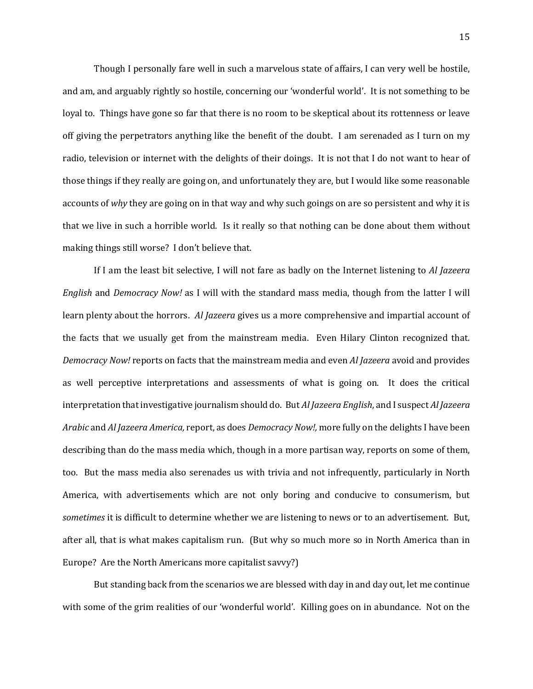Though I personally fare well in such a marvelous state of affairs, I can very well be hostile, and am, and arguably rightly so hostile, concerning our 'wonderful world'. It is not something to be loyal to. Things have gone so far that there is no room to be skeptical about its rottenness or leave off giving the perpetrators anything like the benefit of the doubt. I am serenaded as I turn on my radio, television or internet with the delights of their doings. It is not that I do not want to hear of those things if they really are going on, and unfortunately they are, but I would like some reasonable accounts of *why* they are going on in that way and why such goings on are so persistent and why it is that we live in such a horrible world. Is it really so that nothing can be done about them without making things still worse? I don't believe that.

If I am the least bit selective, I will not fare as badly on the Internet listening to *Al Jazeera English* and *Democracy Now!* as I will with the standard mass media, though from the latter I will learn plenty about the horrors. *Al Jazeera* gives us a more comprehensive and impartial account of the facts that we usually get from the mainstream media. Even Hilary Clinton recognized that. *Democracy Now!* reports on facts that the mainstream media and even *Al Jazeera* avoid and provides as well perceptive interpretations and assessments of what is going on. It does the critical interpretation that investigative journalism should do. But *Al Jazeera English*, and I suspect *Al Jazeera Arabic* and *Al Jazeera America,* report, as does *Democracy Now!,* more fully on the delights I have been describing than do the mass media which, though in a more partisan way, reports on some of them, too. But the mass media also serenades us with trivia and not infrequently, particularly in North America, with advertisements which are not only boring and conducive to consumerism, but *sometimes* it is difficult to determine whether we are listening to news or to an advertisement. But, after all, that is what makes capitalism run. (But why so much more so in North America than in Europe? Are the North Americans more capitalist savvy?)

But standing back from the scenarios we are blessed with day in and day out, let me continue with some of the grim realities of our 'wonderful world'. Killing goes on in abundance. Not on the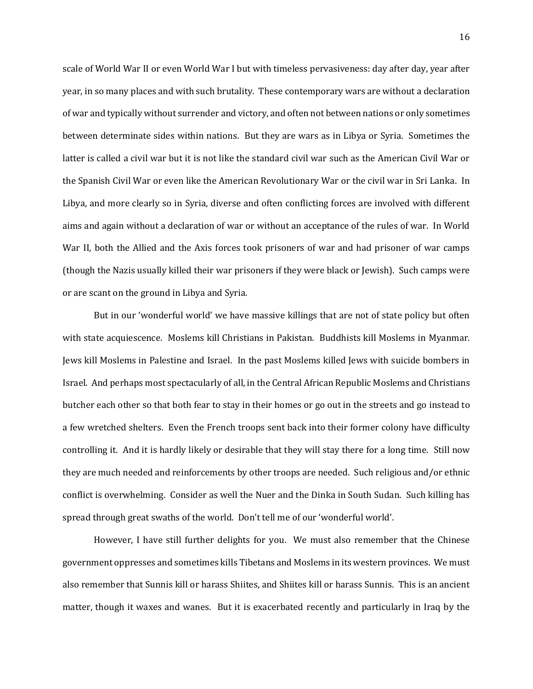scale of World War II or even World War I but with timeless pervasiveness: day after day, year after year, in so many places and with such brutality. These contemporary wars are without a declaration of war and typically without surrender and victory, and often not between nations or only sometimes between determinate sides within nations. But they are wars as in Libya or Syria. Sometimes the latter is called a civil war but it is not like the standard civil war such as the American Civil War or the Spanish Civil War or even like the American Revolutionary War or the civil war in Sri Lanka. In Libya, and more clearly so in Syria, diverse and often conflicting forces are involved with different aims and again without a declaration of war or without an acceptance of the rules of war. In World War II, both the Allied and the Axis forces took prisoners of war and had prisoner of war camps (though the Nazis usually killed their war prisoners if they were black or Jewish). Such camps were or are scant on the ground in Libya and Syria.

But in our 'wonderful world' we have massive killings that are not of state policy but often with state acquiescence. Moslems kill Christians in Pakistan. Buddhists kill Moslems in Myanmar. Jews kill Moslems in Palestine and Israel. In the past Moslems killed Jews with suicide bombers in Israel. And perhaps most spectacularly of all, in the Central African Republic Moslems and Christians butcher each other so that both fear to stay in their homes or go out in the streets and go instead to a few wretched shelters. Even the French troops sent back into their former colony have difficulty controlling it. And it is hardly likely or desirable that they will stay there for a long time. Still now they are much needed and reinforcements by other troops are needed. Such religious and/or ethnic conflict is overwhelming. Consider as well the Nuer and the Dinka in South Sudan. Such killing has spread through great swaths of the world. Don't tell me of our 'wonderful world'.

However, I have still further delights for you. We must also remember that the Chinese government oppresses and sometimes kills Tibetans and Moslems in its western provinces. We must also remember that Sunnis kill or harass Shiites, and Shiites kill or harass Sunnis. This is an ancient matter, though it waxes and wanes. But it is exacerbated recently and particularly in Iraq by the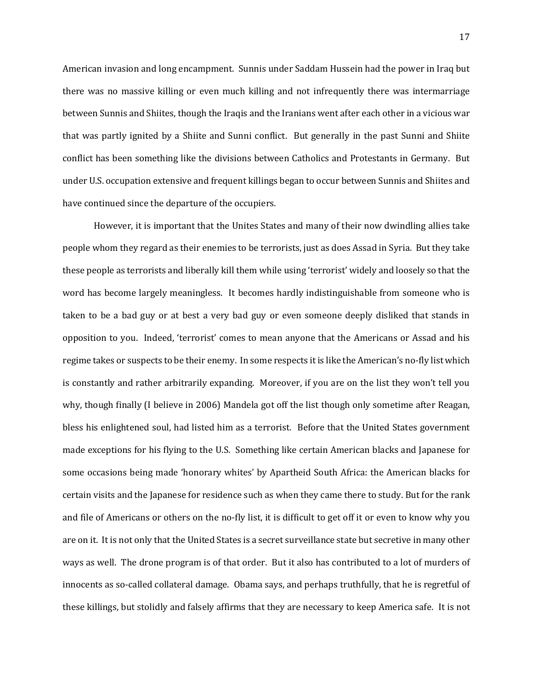American invasion and long encampment. Sunnis under Saddam Hussein had the power in Iraq but there was no massive killing or even much killing and not infrequently there was intermarriage between Sunnis and Shiites, though the Iraqis and the Iranians went after each other in a vicious war that was partly ignited by a Shiite and Sunni conflict. But generally in the past Sunni and Shiite conflict has been something like the divisions between Catholics and Protestants in Germany. But under U.S. occupation extensive and frequent killings began to occur between Sunnis and Shiites and have continued since the departure of the occupiers.

However, it is important that the Unites States and many of their now dwindling allies take people whom they regard as their enemies to be terrorists, just as does Assad in Syria. But they take these people as terrorists and liberally kill them while using 'terrorist' widely and loosely so that the word has become largely meaningless. It becomes hardly indistinguishable from someone who is taken to be a bad guy or at best a very bad guy or even someone deeply disliked that stands in opposition to you. Indeed, 'terrorist' comes to mean anyone that the Americans or Assad and his regime takes or suspects to be their enemy. In some respects it is like the American's no-fly list which is constantly and rather arbitrarily expanding. Moreover, if you are on the list they won't tell you why, though finally (I believe in 2006) Mandela got off the list though only sometime after Reagan, bless his enlightened soul, had listed him as a terrorist. Before that the United States government made exceptions for his flying to the U.S. Something like certain American blacks and Japanese for some occasions being made 'honorary whites' by Apartheid South Africa: the American blacks for certain visits and the Japanese for residence such as when they came there to study. But for the rank and file of Americans or others on the no-fly list, it is difficult to get off it or even to know why you are on it. It is not only that the United States is a secret surveillance state but secretive in many other ways as well. The drone program is of that order. But it also has contributed to a lot of murders of innocents as so-called collateral damage. Obama says, and perhaps truthfully, that he is regretful of these killings, but stolidly and falsely affirms that they are necessary to keep America safe. It is not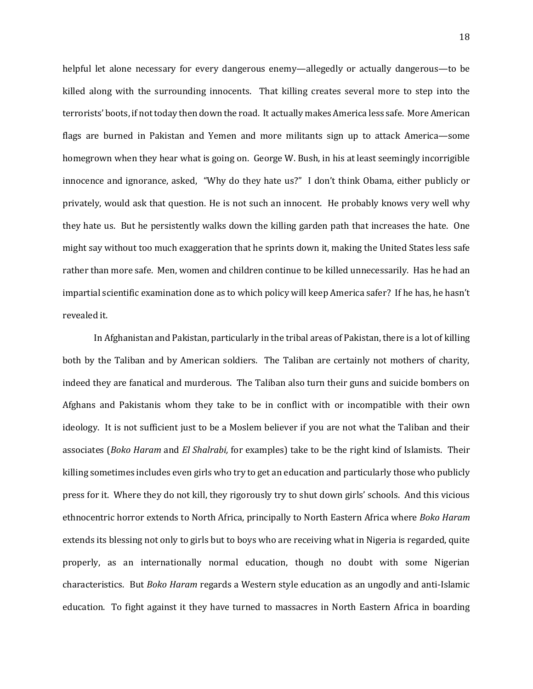helpful let alone necessary for every dangerous enemy—allegedly or actually dangerous—to be killed along with the surrounding innocents. That killing creates several more to step into the terrorists' boots, if not today then down the road. It actually makes America less safe. More American flags are burned in Pakistan and Yemen and more militants sign up to attack America—some homegrown when they hear what is going on. George W. Bush, in his at least seemingly incorrigible innocence and ignorance, asked, "Why do they hate us?" I don't think Obama, either publicly or privately, would ask that question. He is not such an innocent. He probably knows very well why they hate us. But he persistently walks down the killing garden path that increases the hate. One might say without too much exaggeration that he sprints down it, making the United States less safe rather than more safe. Men, women and children continue to be killed unnecessarily. Has he had an impartial scientific examination done as to which policy will keep America safer? If he has, he hasn't revealed it.

In Afghanistan and Pakistan, particularly in the tribal areas of Pakistan, there is a lot of killing both by the Taliban and by American soldiers. The Taliban are certainly not mothers of charity, indeed they are fanatical and murderous. The Taliban also turn their guns and suicide bombers on Afghans and Pakistanis whom they take to be in conflict with or incompatible with their own ideology. It is not sufficient just to be a Moslem believer if you are not what the Taliban and their associates (*Boko Haram* and *El Shalrabi,* for examples) take to be the right kind of Islamists. Their killing sometimes includes even girls who try to get an education and particularly those who publicly press for it. Where they do not kill, they rigorously try to shut down girls' schools. And this vicious ethnocentric horror extends to North Africa, principally to North Eastern Africa where *Boko Haram* extends its blessing not only to girls but to boys who are receiving what in Nigeria is regarded, quite properly, as an internationally normal education, though no doubt with some Nigerian characteristics. But *Boko Haram* regards a Western style education as an ungodly and anti-Islamic education. To fight against it they have turned to massacres in North Eastern Africa in boarding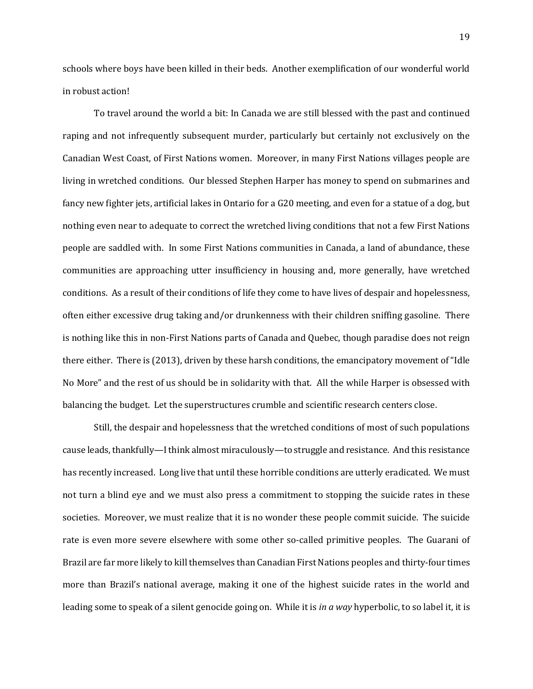schools where boys have been killed in their beds. Another exemplification of our wonderful world in robust action!

To travel around the world a bit: In Canada we are still blessed with the past and continued raping and not infrequently subsequent murder, particularly but certainly not exclusively on the Canadian West Coast, of First Nations women. Moreover, in many First Nations villages people are living in wretched conditions. Our blessed Stephen Harper has money to spend on submarines and fancy new fighter jets, artificial lakes in Ontario for a G20 meeting, and even for a statue of a dog, but nothing even near to adequate to correct the wretched living conditions that not a few First Nations people are saddled with. In some First Nations communities in Canada, a land of abundance, these communities are approaching utter insufficiency in housing and, more generally, have wretched conditions. As a result of their conditions of life they come to have lives of despair and hopelessness, often either excessive drug taking and/or drunkenness with their children sniffing gasoline. There is nothing like this in non-First Nations parts of Canada and Quebec, though paradise does not reign there either. There is (2013), driven by these harsh conditions, the emancipatory movement of "Idle No More" and the rest of us should be in solidarity with that. All the while Harper is obsessed with balancing the budget. Let the superstructures crumble and scientific research centers close.

Still, the despair and hopelessness that the wretched conditions of most of such populations cause leads, thankfully—I think almost miraculously—to struggle and resistance. And this resistance has recently increased. Long live that until these horrible conditions are utterly eradicated. We must not turn a blind eye and we must also press a commitment to stopping the suicide rates in these societies. Moreover, we must realize that it is no wonder these people commit suicide. The suicide rate is even more severe elsewhere with some other so-called primitive peoples. The Guarani of Brazil are far more likely to kill themselves than Canadian First Nations peoples and thirty-four times more than Brazil's national average, making it one of the highest suicide rates in the world and leading some to speak of a silent genocide going on. While it is *in a way* hyperbolic, to so label it, it is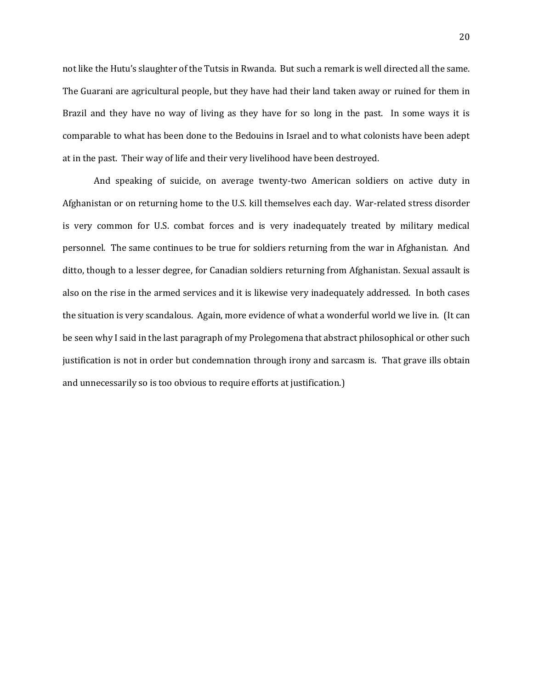not like the Hutu's slaughter of the Tutsis in Rwanda. But such a remark is well directed all the same. The Guarani are agricultural people, but they have had their land taken away or ruined for them in Brazil and they have no way of living as they have for so long in the past. In some ways it is comparable to what has been done to the Bedouins in Israel and to what colonists have been adept at in the past. Their way of life and their very livelihood have been destroyed.

And speaking of suicide, on average twenty-two American soldiers on active duty in Afghanistan or on returning home to the U.S. kill themselves each day. War-related stress disorder is very common for U.S. combat forces and is very inadequately treated by military medical personnel. The same continues to be true for soldiers returning from the war in Afghanistan. And ditto, though to a lesser degree, for Canadian soldiers returning from Afghanistan. Sexual assault is also on the rise in the armed services and it is likewise very inadequately addressed. In both cases the situation is very scandalous. Again, more evidence of what a wonderful world we live in. (It can be seen why I said in the last paragraph of my Prolegomena that abstract philosophical or other such justification is not in order but condemnation through irony and sarcasm is. That grave ills obtain and unnecessarily so is too obvious to require efforts at justification.)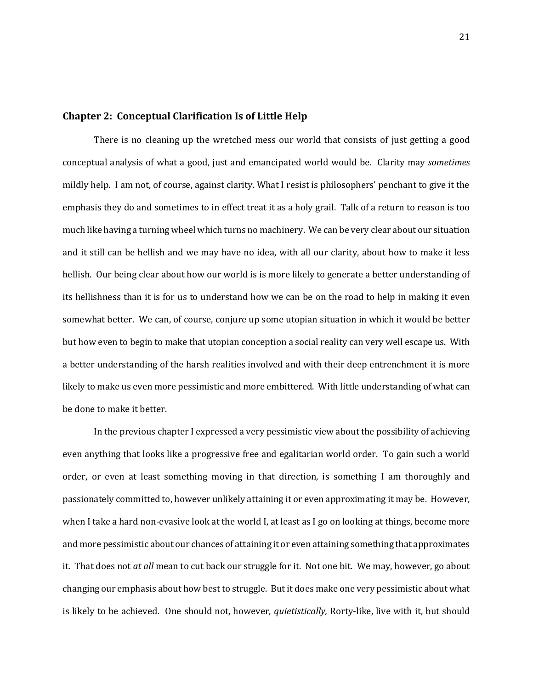#### **Chapter 2: Conceptual Clarification Is of Little Help**

There is no cleaning up the wretched mess our world that consists of just getting a good conceptual analysis of what a good, just and emancipated world would be. Clarity may *sometimes*  mildly help. I am not, of course, against clarity. What I resist is philosophers' penchant to give it the emphasis they do and sometimes to in effect treat it as a holy grail. Talk of a return to reason is too much like having a turning wheel which turns no machinery. We can be very clear about our situation and it still can be hellish and we may have no idea, with all our clarity, about how to make it less hellish. Our being clear about how our world is is more likely to generate a better understanding of its hellishness than it is for us to understand how we can be on the road to help in making it even somewhat better. We can, of course, conjure up some utopian situation in which it would be better but how even to begin to make that utopian conception a social reality can very well escape us. With a better understanding of the harsh realities involved and with their deep entrenchment it is more likely to make us even more pessimistic and more embittered. With little understanding of what can be done to make it better.

In the previous chapter I expressed a very pessimistic view about the possibility of achieving even anything that looks like a progressive free and egalitarian world order. To gain such a world order, or even at least something moving in that direction, is something I am thoroughly and passionately committed to, however unlikely attaining it or even approximating it may be. However, when I take a hard non-evasive look at the world I, at least as I go on looking at things, become more and more pessimistic about our chances of attaining it or even attaining something that approximates it. That does not *at all* mean to cut back our struggle for it. Not one bit. We may, however, go about changing our emphasis about how best to struggle. But it does make one very pessimistic about what is likely to be achieved. One should not, however, *quietistically,* Rorty-like, live with it, but should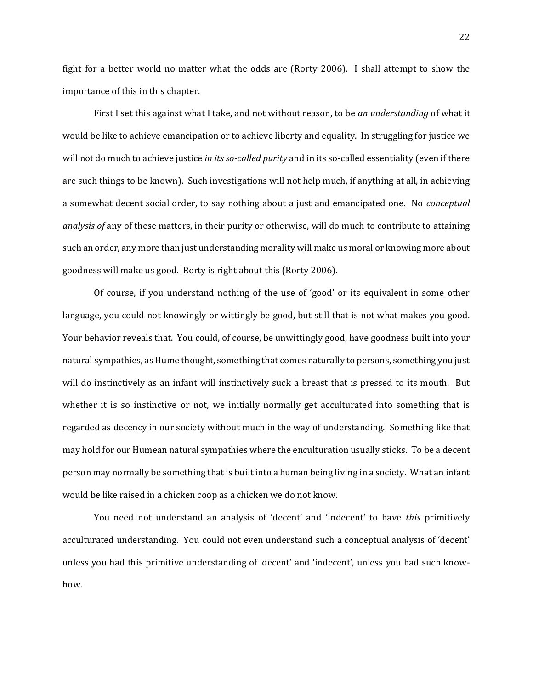fight for a better world no matter what the odds are (Rorty 2006). I shall attempt to show the importance of this in this chapter.

First I set this against what I take, and not without reason, to be *an understanding* of what it would be like to achieve emancipation or to achieve liberty and equality. In struggling for justice we will not do much to achieve justice *in its so-called purity* and in its so-called essentiality (even if there are such things to be known). Such investigations will not help much, if anything at all, in achieving a somewhat decent social order, to say nothing about a just and emancipated one. No *conceptual analysis of* any of these matters, in their purity or otherwise, will do much to contribute to attaining such an order, any more than just understanding morality will make us moral or knowing more about goodness will make us good. Rorty is right about this (Rorty 2006).

Of course, if you understand nothing of the use of 'good' or its equivalent in some other language, you could not knowingly or wittingly be good, but still that is not what makes you good. Your behavior reveals that. You could, of course, be unwittingly good, have goodness built into your natural sympathies, as Hume thought, something that comes naturally to persons, something you just will do instinctively as an infant will instinctively suck a breast that is pressed to its mouth. But whether it is so instinctive or not, we initially normally get acculturated into something that is regarded as decency in our society without much in the way of understanding. Something like that may hold for our Humean natural sympathies where the enculturation usually sticks. To be a decent person may normally be something that is built into a human being living in a society. What an infant would be like raised in a chicken coop as a chicken we do not know.

You need not understand an analysis of 'decent' and 'indecent' to have *this* primitively acculturated understanding. You could not even understand such a conceptual analysis of 'decent' unless you had this primitive understanding of 'decent' and 'indecent', unless you had such knowhow.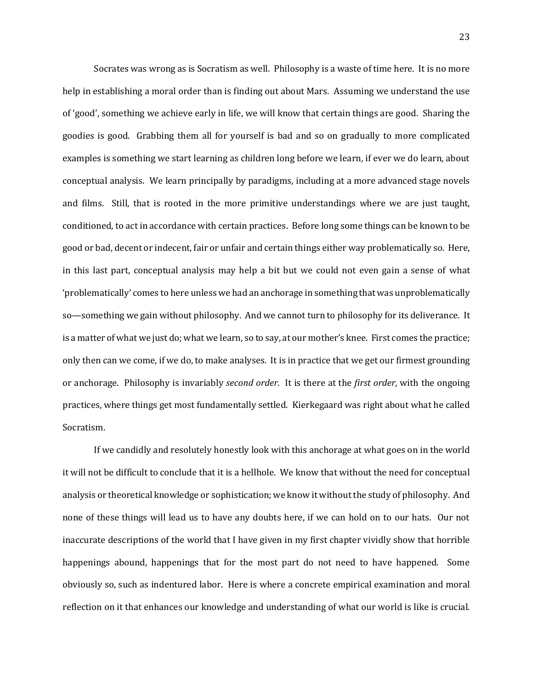Socrates was wrong as is Socratism as well. Philosophy is a waste of time here. It is no more help in establishing a moral order than is finding out about Mars. Assuming we understand the use of 'good', something we achieve early in life, we will know that certain things are good. Sharing the goodies is good. Grabbing them all for yourself is bad and so on gradually to more complicated examples is something we start learning as children long before we learn, if ever we do learn, about conceptual analysis. We learn principally by paradigms, including at a more advanced stage novels and films. Still, that is rooted in the more primitive understandings where we are just taught, conditioned, to act in accordance with certain practices. Before long some things can be known to be good or bad, decent or indecent, fair or unfair and certain things either way problematically so. Here, in this last part, conceptual analysis may help a bit but we could not even gain a sense of what 'problematically' comes to here unless we had an anchorage in something that was unproblematically so—something we gain without philosophy. And we cannot turn to philosophy for its deliverance. It is a matter of what we just do; what we learn, so to say, at our mother's knee. First comes the practice; only then can we come, if we do, to make analyses. It is in practice that we get our firmest grounding or anchorage. Philosophy is invariably *second order*. It is there at the *first order*, with the ongoing practices, where things get most fundamentally settled. Kierkegaard was right about what he called Socratism.

If we candidly and resolutely honestly look with this anchorage at what goes on in the world it will not be difficult to conclude that it is a hellhole. We know that without the need for conceptual analysis or theoretical knowledge or sophistication; we know it without the study of philosophy. And none of these things will lead us to have any doubts here, if we can hold on to our hats. Our not inaccurate descriptions of the world that I have given in my first chapter vividly show that horrible happenings abound, happenings that for the most part do not need to have happened. Some obviously so, such as indentured labor. Here is where a concrete empirical examination and moral reflection on it that enhances our knowledge and understanding of what our world is like is crucial.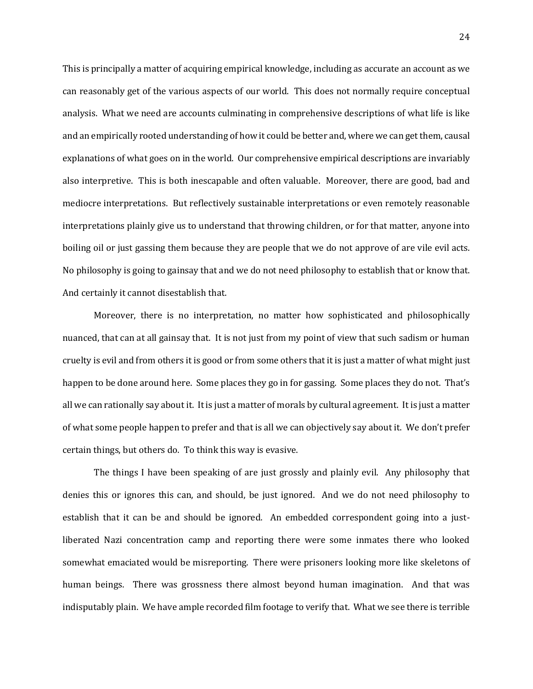This is principally a matter of acquiring empirical knowledge, including as accurate an account as we can reasonably get of the various aspects of our world. This does not normally require conceptual analysis. What we need are accounts culminating in comprehensive descriptions of what life is like and an empirically rooted understanding of how it could be better and, where we can get them, causal explanations of what goes on in the world. Our comprehensive empirical descriptions are invariably also interpretive. This is both inescapable and often valuable. Moreover, there are good, bad and mediocre interpretations. But reflectively sustainable interpretations or even remotely reasonable interpretations plainly give us to understand that throwing children, or for that matter, anyone into boiling oil or just gassing them because they are people that we do not approve of are vile evil acts. No philosophy is going to gainsay that and we do not need philosophy to establish that or know that. And certainly it cannot disestablish that.

Moreover, there is no interpretation, no matter how sophisticated and philosophically nuanced, that can at all gainsay that. It is not just from my point of view that such sadism or human cruelty is evil and from others it is good or from some others that it is just a matter of what might just happen to be done around here. Some places they go in for gassing. Some places they do not. That's all we can rationally say about it. It is just a matter of morals by cultural agreement. It is just a matter of what some people happen to prefer and that is all we can objectively say about it. We don't prefer certain things, but others do. To think this way is evasive.

The things I have been speaking of are just grossly and plainly evil. Any philosophy that denies this or ignores this can, and should, be just ignored. And we do not need philosophy to establish that it can be and should be ignored. An embedded correspondent going into a justliberated Nazi concentration camp and reporting there were some inmates there who looked somewhat emaciated would be misreporting. There were prisoners looking more like skeletons of human beings. There was grossness there almost beyond human imagination. And that was indisputably plain. We have ample recorded film footage to verify that. What we see there is terrible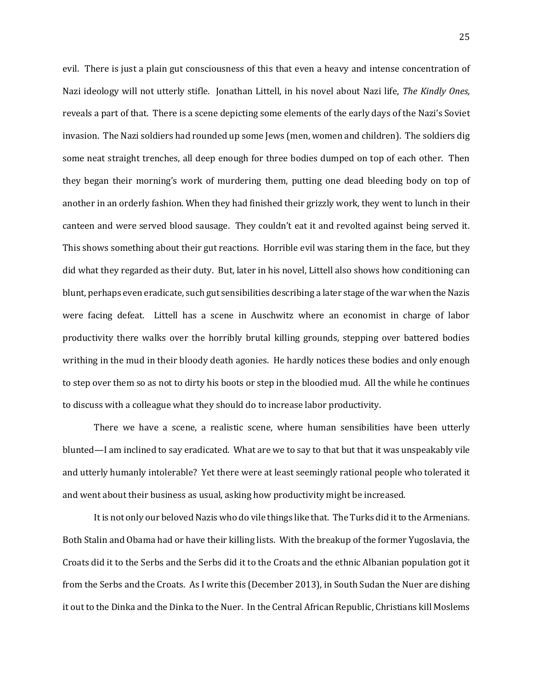evil. There is just a plain gut consciousness of this that even a heavy and intense concentration of Nazi ideology will not utterly stifle. Jonathan Littell, in his novel about Nazi life, *The Kindly Ones,*  reveals a part of that. There is a scene depicting some elements of the early days of the Nazi's Soviet invasion. The Nazi soldiers had rounded up some Jews (men, women and children). The soldiers dig some neat straight trenches, all deep enough for three bodies dumped on top of each other. Then they began their morning's work of murdering them, putting one dead bleeding body on top of another in an orderly fashion. When they had finished their grizzly work, they went to lunch in their canteen and were served blood sausage. They couldn't eat it and revolted against being served it. This shows something about their gut reactions. Horrible evil was staring them in the face, but they did what they regarded as their duty. But, later in his novel, Littell also shows how conditioning can blunt, perhaps even eradicate, such gut sensibilities describing a later stage of the war when the Nazis were facing defeat. Littell has a scene in Auschwitz where an economist in charge of labor productivity there walks over the horribly brutal killing grounds, stepping over battered bodies writhing in the mud in their bloody death agonies. He hardly notices these bodies and only enough to step over them so as not to dirty his boots or step in the bloodied mud. All the while he continues to discuss with a colleague what they should do to increase labor productivity.

There we have a scene, a realistic scene, where human sensibilities have been utterly blunted—I am inclined to say eradicated. What are we to say to that but that it was unspeakably vile and utterly humanly intolerable? Yet there were at least seemingly rational people who tolerated it and went about their business as usual, asking how productivity might be increased.

It is not only our beloved Nazis who do vile things like that. The Turks did it to the Armenians. Both Stalin and Obama had or have their killing lists. With the breakup of the former Yugoslavia, the Croats did it to the Serbs and the Serbs did it to the Croats and the ethnic Albanian population got it from the Serbs and the Croats. As I write this (December 2013), in South Sudan the Nuer are dishing it out to the Dinka and the Dinka to the Nuer. In the Central African Republic, Christians kill Moslems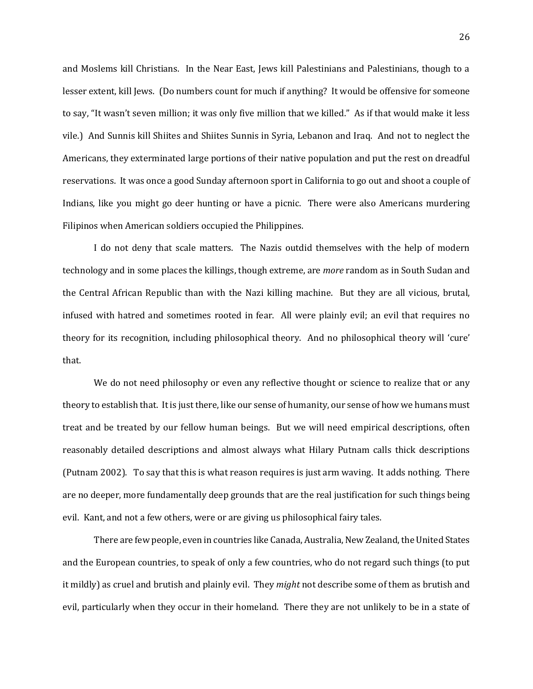and Moslems kill Christians. In the Near East, Jews kill Palestinians and Palestinians, though to a lesser extent, kill Jews. (Do numbers count for much if anything? It would be offensive for someone to say, "It wasn't seven million; it was only five million that we killed." As if that would make it less vile.) And Sunnis kill Shiites and Shiites Sunnis in Syria, Lebanon and Iraq. And not to neglect the Americans, they exterminated large portions of their native population and put the rest on dreadful reservations. It was once a good Sunday afternoon sport in California to go out and shoot a couple of Indians, like you might go deer hunting or have a picnic. There were also Americans murdering Filipinos when American soldiers occupied the Philippines.

I do not deny that scale matters. The Nazis outdid themselves with the help of modern technology and in some places the killings, though extreme, are *more* random as in South Sudan and the Central African Republic than with the Nazi killing machine. But they are all vicious, brutal, infused with hatred and sometimes rooted in fear. All were plainly evil; an evil that requires no theory for its recognition, including philosophical theory. And no philosophical theory will 'cure' that.

We do not need philosophy or even any reflective thought or science to realize that or any theory to establish that. It is just there, like our sense of humanity, our sense of how we humans must treat and be treated by our fellow human beings. But we will need empirical descriptions, often reasonably detailed descriptions and almost always what Hilary Putnam calls thick descriptions (Putnam 2002). To say that this is what reason requires is just arm waving. It adds nothing. There are no deeper, more fundamentally deep grounds that are the real justification for such things being evil. Kant, and not a few others, were or are giving us philosophical fairy tales.

There are few people, even in countries like Canada, Australia, New Zealand, the United States and the European countries, to speak of only a few countries, who do not regard such things (to put it mildly) as cruel and brutish and plainly evil. They *might* not describe some of them as brutish and evil, particularly when they occur in their homeland. There they are not unlikely to be in a state of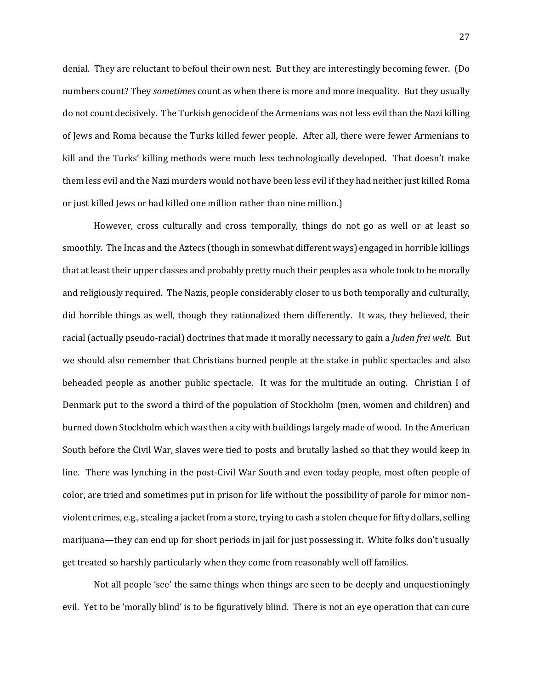denial. They are reluctant to befoul their own nest. But they are interestingly becoming fewer. (Do numbers count? They *sometimes* count as when there is more and more inequality. But they usually do not count decisively. The Turkish genocide of the Armenians was not less evil than the Nazi killing of Jews and Roma because the Turks killed fewer people. After all, there were fewer Armenians to kill and the Turks' killing methods were much less technologically developed. That doesn't make them less evil and the Nazi murders would not have been less evil if they had neither just killed Roma or just killed Jews or had killed one million rather than nine million.)

However, cross culturally and cross temporally, things do not go as well or at least so smoothly. The Incas and the Aztecs (though in somewhat different ways) engaged in horrible killings that at least their upper classes and probably pretty much their peoples as a whole took to be morally and religiously required. The Nazis, people considerably closer to us both temporally and culturally, did horrible things as well, though they rationalized them differently. It was, they believed, their racial (actually pseudo-racial) doctrines that made it morally necessary to gain a *Juden frei welt.* But we should also remember that Christians burned people at the stake in public spectacles and also beheaded people as another public spectacle. It was for the multitude an outing. Christian I of Denmark put to the sword a third of the population of Stockholm (men, women and children) and burned down Stockholm which was then a city with buildings largely made of wood. In the American South before the Civil War, slaves were tied to posts and brutally lashed so that they would keep in line. There was lynching in the post-Civil War South and even today people, most often people of color, are tried and sometimes put in prison for life without the possibility of parole for minor nonviolent crimes, e.g., stealing a jacket from a store, trying to cash a stolen cheque for fifty dollars, selling marijuana—they can end up for short periods in jail for just possessing it. White folks don't usually get treated so harshly particularly when they come from reasonably well off families.

Not all people 'see' the same things when things are seen to be deeply and unquestioningly evil. Yet to be 'morally blind' is to be figuratively blind. There is not an eye operation that can cure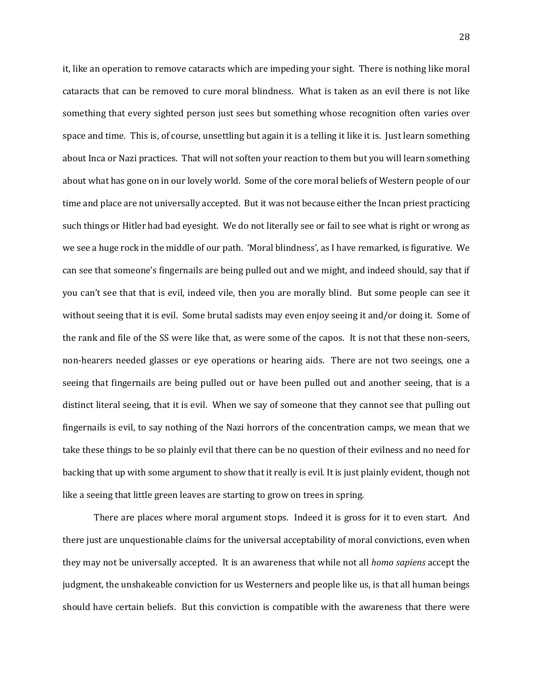it, like an operation to remove cataracts which are impeding your sight. There is nothing like moral cataracts that can be removed to cure moral blindness. What is taken as an evil there is not like something that every sighted person just sees but something whose recognition often varies over space and time. This is, of course, unsettling but again it is a telling it like it is. Just learn something about Inca or Nazi practices. That will not soften your reaction to them but you will learn something about what has gone on in our lovely world. Some of the core moral beliefs of Western people of our time and place are not universally accepted. But it was not because either the Incan priest practicing such things or Hitler had bad eyesight. We do not literally see or fail to see what is right or wrong as we see a huge rock in the middle of our path. 'Moral blindness', as I have remarked, is figurative. We can see that someone's fingernails are being pulled out and we might, and indeed should, say that if you can't see that that is evil, indeed vile, then you are morally blind. But some people can see it without seeing that it is evil. Some brutal sadists may even enjoy seeing it and/or doing it. Some of the rank and file of the SS were like that, as were some of the capos. It is not that these non-seers, non-hearers needed glasses or eye operations or hearing aids. There are not two seeings, one a seeing that fingernails are being pulled out or have been pulled out and another seeing, that is a distinct literal seeing, that it is evil. When we say of someone that they cannot see that pulling out fingernails is evil, to say nothing of the Nazi horrors of the concentration camps, we mean that we take these things to be so plainly evil that there can be no question of their evilness and no need for backing that up with some argument to show that it really is evil. It is just plainly evident, though not like a seeing that little green leaves are starting to grow on trees in spring.

There are places where moral argument stops. Indeed it is gross for it to even start. And there just are unquestionable claims for the universal acceptability of moral convictions, even when they may not be universally accepted. It is an awareness that while not all *homo sapiens* accept the judgment, the unshakeable conviction for us Westerners and people like us, is that all human beings should have certain beliefs. But this conviction is compatible with the awareness that there were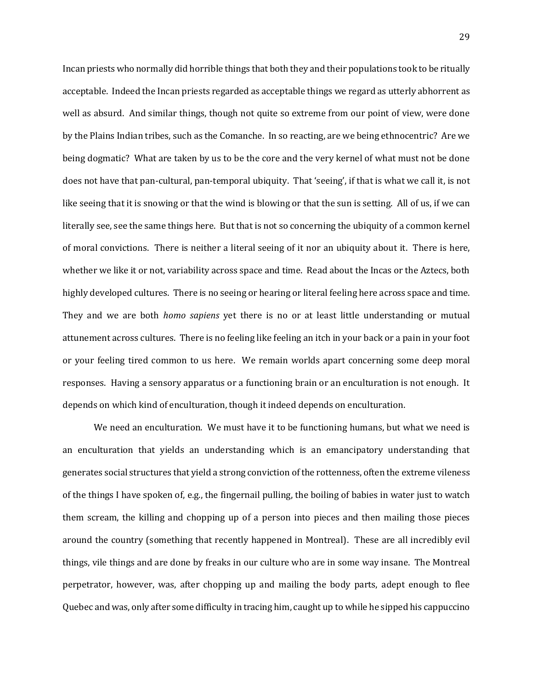Incan priests who normally did horrible things that both they and their populations took to be ritually acceptable. Indeed the Incan priests regarded as acceptable things we regard as utterly abhorrent as well as absurd. And similar things, though not quite so extreme from our point of view, were done by the Plains Indian tribes, such as the Comanche. In so reacting, are we being ethnocentric? Are we being dogmatic? What are taken by us to be the core and the very kernel of what must not be done does not have that pan-cultural, pan-temporal ubiquity. That 'seeing', if that is what we call it, is not like seeing that it is snowing or that the wind is blowing or that the sun is setting. All of us, if we can literally see, see the same things here. But that is not so concerning the ubiquity of a common kernel of moral convictions. There is neither a literal seeing of it nor an ubiquity about it. There is here, whether we like it or not, variability across space and time. Read about the Incas or the Aztecs, both highly developed cultures. There is no seeing or hearing or literal feeling here across space and time. They and we are both *homo sapiens* yet there is no or at least little understanding or mutual attunement across cultures. There is no feeling like feeling an itch in your back or a pain in your foot or your feeling tired common to us here. We remain worlds apart concerning some deep moral responses. Having a sensory apparatus or a functioning brain or an enculturation is not enough. It depends on which kind of enculturation, though it indeed depends on enculturation.

We need an enculturation. We must have it to be functioning humans, but what we need is an enculturation that yields an understanding which is an emancipatory understanding that generates social structures that yield a strong conviction of the rottenness, often the extreme vileness of the things I have spoken of, e.g., the fingernail pulling, the boiling of babies in water just to watch them scream, the killing and chopping up of a person into pieces and then mailing those pieces around the country (something that recently happened in Montreal). These are all incredibly evil things, vile things and are done by freaks in our culture who are in some way insane. The Montreal perpetrator, however, was, after chopping up and mailing the body parts, adept enough to flee Quebec and was, only after some difficulty in tracing him, caught up to while he sipped his cappuccino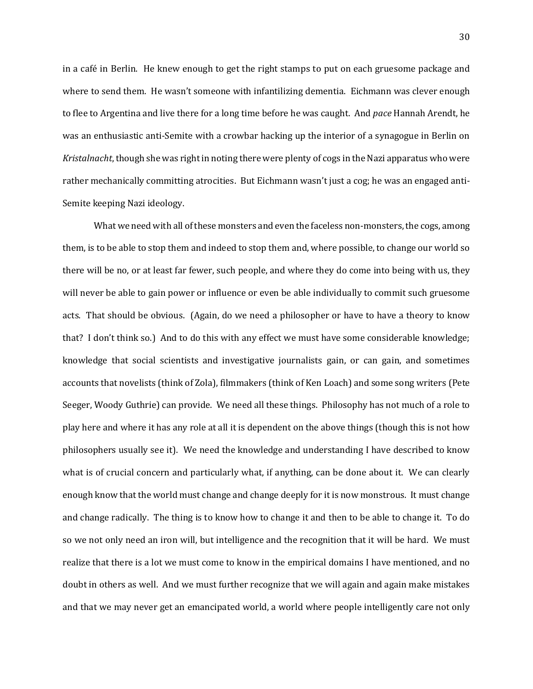in a café in Berlin. He knew enough to get the right stamps to put on each gruesome package and where to send them. He wasn't someone with infantilizing dementia. Eichmann was clever enough to flee to Argentina and live there for a long time before he was caught. And *pace* Hannah Arendt, he was an enthusiastic anti-Semite with a crowbar hacking up the interior of a synagogue in Berlin on *Kristalnacht*, though she was right in noting there were plenty of cogs in the Nazi apparatus who were rather mechanically committing atrocities. But Eichmann wasn't just a cog; he was an engaged anti-Semite keeping Nazi ideology.

What we need with all of these monsters and even the faceless non-monsters, the cogs, among them, is to be able to stop them and indeed to stop them and, where possible, to change our world so there will be no, or at least far fewer, such people, and where they do come into being with us, they will never be able to gain power or influence or even be able individually to commit such gruesome acts. That should be obvious. (Again, do we need a philosopher or have to have a theory to know that? I don't think so.) And to do this with any effect we must have some considerable knowledge; knowledge that social scientists and investigative journalists gain, or can gain, and sometimes accounts that novelists (think of Zola), filmmakers (think of Ken Loach) and some song writers (Pete Seeger, Woody Guthrie) can provide. We need all these things. Philosophy has not much of a role to play here and where it has any role at all it is dependent on the above things (though this is not how philosophers usually see it). We need the knowledge and understanding I have described to know what is of crucial concern and particularly what, if anything, can be done about it. We can clearly enough know that the world must change and change deeply for it is now monstrous. It must change and change radically. The thing is to know how to change it and then to be able to change it. To do so we not only need an iron will, but intelligence and the recognition that it will be hard. We must realize that there is a lot we must come to know in the empirical domains I have mentioned, and no doubt in others as well. And we must further recognize that we will again and again make mistakes and that we may never get an emancipated world, a world where people intelligently care not only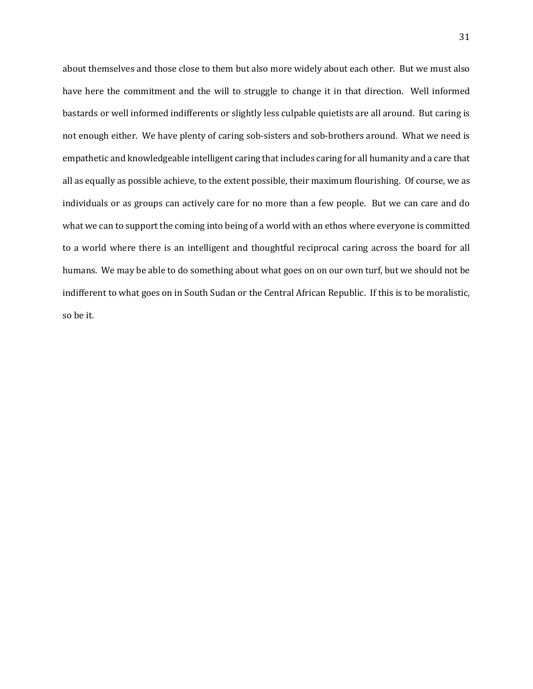about themselves and those close to them but also more widely about each other. But we must also have here the commitment and the will to struggle to change it in that direction. Well informed bastards or well informed indifferents or slightly less culpable quietists are all around. But caring is not enough either. We have plenty of caring sob-sisters and sob-brothers around. What we need is empathetic and knowledgeable intelligent caring that includes caring for all humanity and a care that all as equally as possible achieve, to the extent possible, their maximum flourishing. Of course, we as individuals or as groups can actively care for no more than a few people. But we can care and do what we can to support the coming into being of a world with an ethos where everyone is committed to a world where there is an intelligent and thoughtful reciprocal caring across the board for all humans. We may be able to do something about what goes on on our own turf, but we should not be indifferent to what goes on in South Sudan or the Central African Republic. If this is to be moralistic, so be it.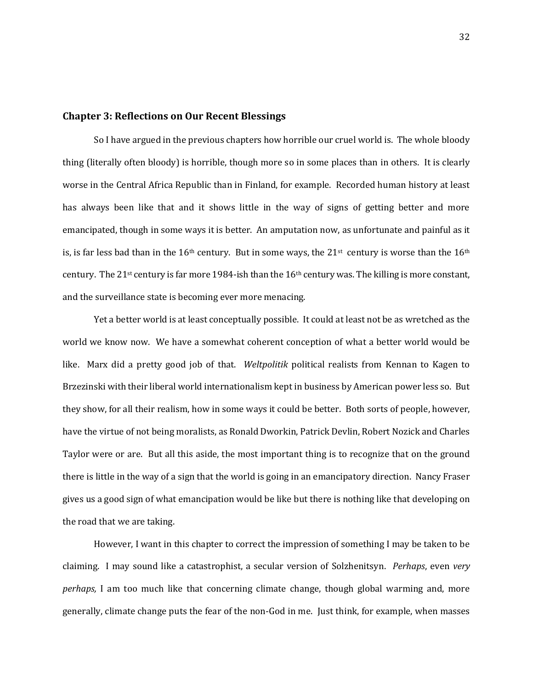#### **Chapter 3: Reflections on Our Recent Blessings**

So I have argued in the previous chapters how horrible our cruel world is. The whole bloody thing (literally often bloody) is horrible, though more so in some places than in others. It is clearly worse in the Central Africa Republic than in Finland, for example. Recorded human history at least has always been like that and it shows little in the way of signs of getting better and more emancipated, though in some ways it is better. An amputation now, as unfortunate and painful as it is, is far less bad than in the 16<sup>th</sup> century. But in some ways, the 21<sup>st</sup> century is worse than the 16<sup>th</sup> century. The 21<sup>st</sup> century is far more 1984-ish than the  $16th$  century was. The killing is more constant, and the surveillance state is becoming ever more menacing.

Yet a better world is at least conceptually possible. It could at least not be as wretched as the world we know now. We have a somewhat coherent conception of what a better world would be like. Marx did a pretty good job of that. *Weltpolitik* political realists from Kennan to Kagen to Brzezinski with their liberal world internationalism kept in business by American power less so. But they show, for all their realism, how in some ways it could be better. Both sorts of people, however, have the virtue of not being moralists, as Ronald Dworkin, Patrick Devlin, Robert Nozick and Charles Taylor were or are. But all this aside, the most important thing is to recognize that on the ground there is little in the way of a sign that the world is going in an emancipatory direction. Nancy Fraser gives us a good sign of what emancipation would be like but there is nothing like that developing on the road that we are taking.

However, I want in this chapter to correct the impression of something I may be taken to be claiming. I may sound like a catastrophist, a secular version of Solzhenitsyn. *Perhaps*, even *very perhaps,* I am too much like that concerning climate change, though global warming and, more generally, climate change puts the fear of the non-God in me. Just think, for example, when masses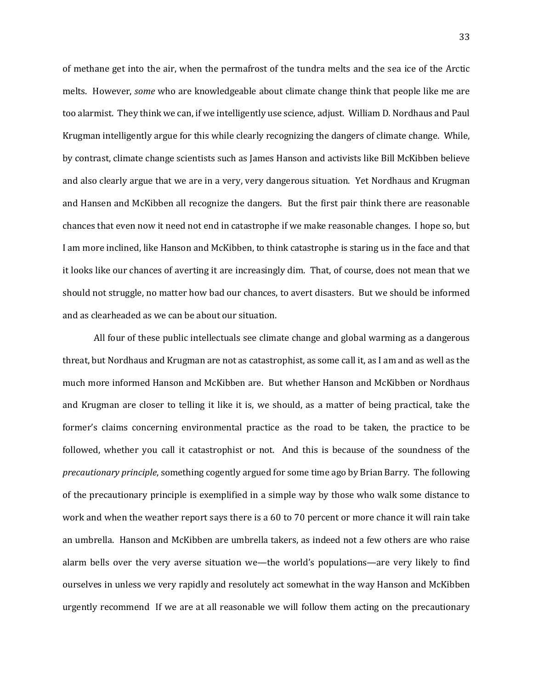of methane get into the air, when the permafrost of the tundra melts and the sea ice of the Arctic melts. However, *some* who are knowledgeable about climate change think that people like me are too alarmist. They think we can, if we intelligently use science, adjust. William D. Nordhaus and Paul Krugman intelligently argue for this while clearly recognizing the dangers of climate change. While, by contrast, climate change scientists such as James Hanson and activists like Bill McKibben believe and also clearly argue that we are in a very, very dangerous situation. Yet Nordhaus and Krugman and Hansen and McKibben all recognize the dangers. But the first pair think there are reasonable chances that even now it need not end in catastrophe if we make reasonable changes. I hope so, but I am more inclined, like Hanson and McKibben, to think catastrophe is staring us in the face and that it looks like our chances of averting it are increasingly dim. That, of course, does not mean that we should not struggle, no matter how bad our chances, to avert disasters. But we should be informed and as clearheaded as we can be about our situation.

All four of these public intellectuals see climate change and global warming as a dangerous threat, but Nordhaus and Krugman are not as catastrophist, as some call it, as I am and as well as the much more informed Hanson and McKibben are. But whether Hanson and McKibben or Nordhaus and Krugman are closer to telling it like it is, we should, as a matter of being practical, take the former's claims concerning environmental practice as the road to be taken, the practice to be followed, whether you call it catastrophist or not. And this is because of the soundness of the *precautionary principle*, something cogently argued for some time ago by Brian Barry. The following of the precautionary principle is exemplified in a simple way by those who walk some distance to work and when the weather report says there is a 60 to 70 percent or more chance it will rain take an umbrella. Hanson and McKibben are umbrella takers, as indeed not a few others are who raise alarm bells over the very averse situation we—the world's populations—are very likely to find ourselves in unless we very rapidly and resolutely act somewhat in the way Hanson and McKibben urgently recommend If we are at all reasonable we will follow them acting on the precautionary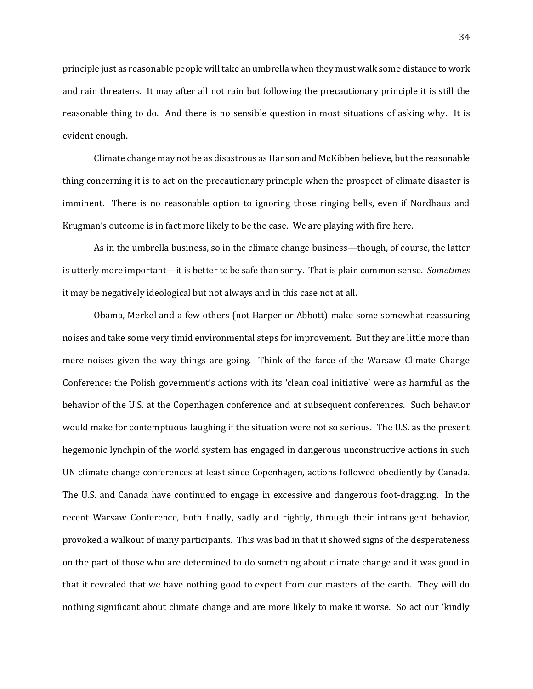principle just as reasonable people will take an umbrella when they must walk some distance to work and rain threatens. It may after all not rain but following the precautionary principle it is still the reasonable thing to do. And there is no sensible question in most situations of asking why. It is evident enough.

Climate change may not be as disastrous as Hanson and McKibben believe, but the reasonable thing concerning it is to act on the precautionary principle when the prospect of climate disaster is imminent. There is no reasonable option to ignoring those ringing bells, even if Nordhaus and Krugman's outcome is in fact more likely to be the case. We are playing with fire here.

As in the umbrella business, so in the climate change business—though, of course, the latter is utterly more important—it is better to be safe than sorry. That is plain common sense. *Sometimes*  it may be negatively ideological but not always and in this case not at all.

Obama, Merkel and a few others (not Harper or Abbott) make some somewhat reassuring noises and take some very timid environmental steps for improvement. But they are little more than mere noises given the way things are going. Think of the farce of the Warsaw Climate Change Conference: the Polish government's actions with its 'clean coal initiative' were as harmful as the behavior of the U.S. at the Copenhagen conference and at subsequent conferences. Such behavior would make for contemptuous laughing if the situation were not so serious. The U.S. as the present hegemonic lynchpin of the world system has engaged in dangerous unconstructive actions in such UN climate change conferences at least since Copenhagen, actions followed obediently by Canada. The U.S. and Canada have continued to engage in excessive and dangerous foot-dragging. In the recent Warsaw Conference, both finally, sadly and rightly, through their intransigent behavior, provoked a walkout of many participants. This was bad in that it showed signs of the desperateness on the part of those who are determined to do something about climate change and it was good in that it revealed that we have nothing good to expect from our masters of the earth. They will do nothing significant about climate change and are more likely to make it worse. So act our 'kindly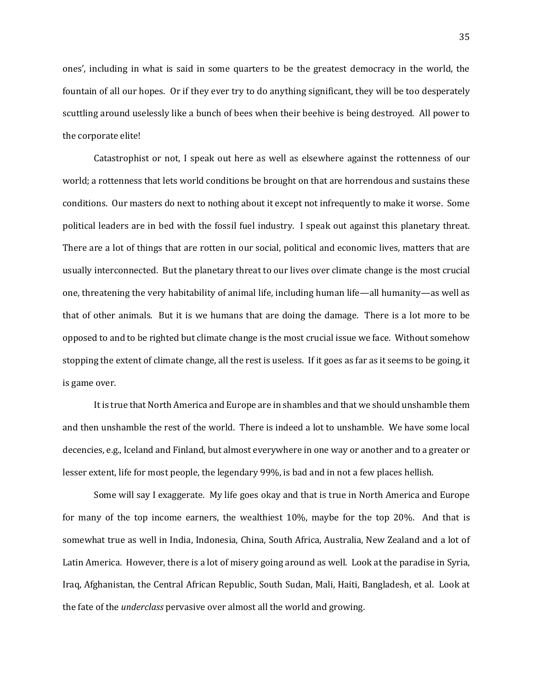ones', including in what is said in some quarters to be the greatest democracy in the world, the fountain of all our hopes. Or if they ever try to do anything significant, they will be too desperately scuttling around uselessly like a bunch of bees when their beehive is being destroyed. All power to the corporate elite!

Catastrophist or not, I speak out here as well as elsewhere against the rottenness of our world; a rottenness that lets world conditions be brought on that are horrendous and sustains these conditions. Our masters do next to nothing about it except not infrequently to make it worse. Some political leaders are in bed with the fossil fuel industry. I speak out against this planetary threat. There are a lot of things that are rotten in our social, political and economic lives, matters that are usually interconnected. But the planetary threat to our lives over climate change is the most crucial one, threatening the very habitability of animal life, including human life—all humanity—as well as that of other animals. But it is we humans that are doing the damage. There is a lot more to be opposed to and to be righted but climate change is the most crucial issue we face. Without somehow stopping the extent of climate change, all the rest is useless. If it goes as far as it seems to be going, it is game over.

It is true that North America and Europe are in shambles and that we should unshamble them and then unshamble the rest of the world. There is indeed a lot to unshamble. We have some local decencies, e.g., Iceland and Finland, but almost everywhere in one way or another and to a greater or lesser extent, life for most people, the legendary 99%, is bad and in not a few places hellish.

Some will say I exaggerate. My life goes okay and that is true in North America and Europe for many of the top income earners, the wealthiest 10%, maybe for the top 20%. And that is somewhat true as well in India, Indonesia, China, South Africa, Australia, New Zealand and a lot of Latin America. However, there is a lot of misery going around as well. Look at the paradise in Syria, Iraq, Afghanistan, the Central African Republic, South Sudan, Mali, Haiti, Bangladesh, et al. Look at the fate of the *underclass* pervasive over almost all the world and growing.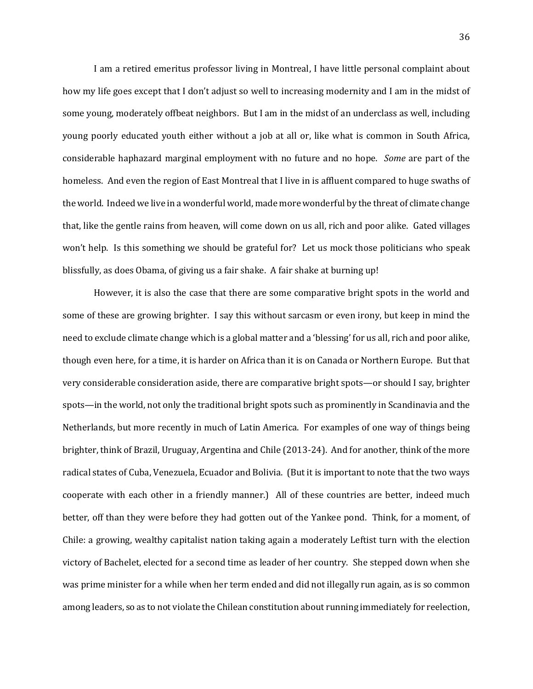I am a retired emeritus professor living in Montreal, I have little personal complaint about how my life goes except that I don't adjust so well to increasing modernity and I am in the midst of some young, moderately offbeat neighbors. But I am in the midst of an underclass as well, including young poorly educated youth either without a job at all or, like what is common in South Africa, considerable haphazard marginal employment with no future and no hope. *Some* are part of the homeless. And even the region of East Montreal that I live in is affluent compared to huge swaths of the world. Indeed we live in a wonderful world, made more wonderful by the threat of climate change that, like the gentle rains from heaven, will come down on us all, rich and poor alike. Gated villages won't help. Is this something we should be grateful for? Let us mock those politicians who speak blissfully, as does Obama, of giving us a fair shake. A fair shake at burning up!

However, it is also the case that there are some comparative bright spots in the world and some of these are growing brighter. I say this without sarcasm or even irony, but keep in mind the need to exclude climate change which is a global matter and a 'blessing' for us all, rich and poor alike, though even here, for a time, it is harder on Africa than it is on Canada or Northern Europe. But that very considerable consideration aside, there are comparative bright spots—or should I say, brighter spots—in the world, not only the traditional bright spots such as prominently in Scandinavia and the Netherlands, but more recently in much of Latin America. For examples of one way of things being brighter, think of Brazil, Uruguay, Argentina and Chile (2013-24). And for another, think of the more radical states of Cuba, Venezuela, Ecuador and Bolivia. (But it is important to note that the two ways cooperate with each other in a friendly manner.) All of these countries are better, indeed much better, off than they were before they had gotten out of the Yankee pond. Think, for a moment, of Chile: a growing, wealthy capitalist nation taking again a moderately Leftist turn with the election victory of Bachelet, elected for a second time as leader of her country. She stepped down when she was prime minister for a while when her term ended and did not illegally run again, as is so common among leaders, so as to not violate the Chilean constitution about running immediately for reelection,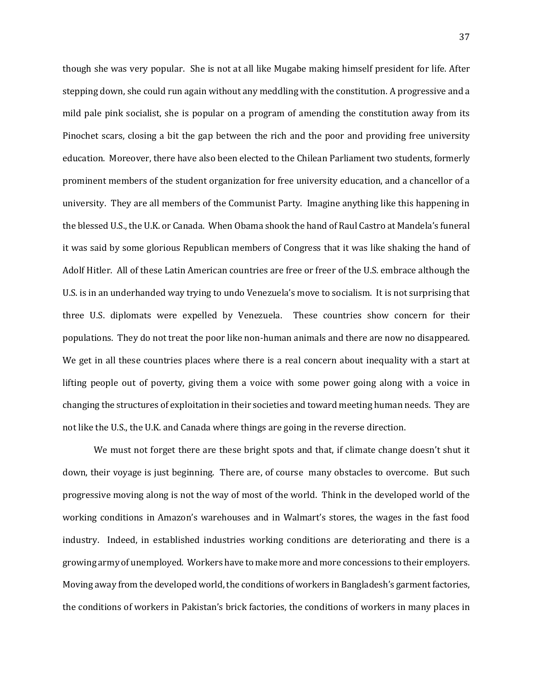though she was very popular. She is not at all like Mugabe making himself president for life. After stepping down, she could run again without any meddling with the constitution. A progressive and a mild pale pink socialist, she is popular on a program of amending the constitution away from its Pinochet scars, closing a bit the gap between the rich and the poor and providing free university education. Moreover, there have also been elected to the Chilean Parliament two students, formerly prominent members of the student organization for free university education, and a chancellor of a university. They are all members of the Communist Party. Imagine anything like this happening in the blessed U.S., the U.K. or Canada. When Obama shook the hand of Raul Castro at Mandela's funeral it was said by some glorious Republican members of Congress that it was like shaking the hand of Adolf Hitler. All of these Latin American countries are free or freer of the U.S. embrace although the U.S. is in an underhanded way trying to undo Venezuela's move to socialism. It is not surprising that three U.S. diplomats were expelled by Venezuela. These countries show concern for their populations. They do not treat the poor like non-human animals and there are now no disappeared. We get in all these countries places where there is a real concern about inequality with a start at lifting people out of poverty, giving them a voice with some power going along with a voice in changing the structures of exploitation in their societies and toward meeting human needs. They are not like the U.S., the U.K. and Canada where things are going in the reverse direction.

We must not forget there are these bright spots and that, if climate change doesn't shut it down, their voyage is just beginning. There are, of course many obstacles to overcome. But such progressive moving along is not the way of most of the world. Think in the developed world of the working conditions in Amazon's warehouses and in Walmart's stores, the wages in the fast food industry. Indeed, in established industries working conditions are deteriorating and there is a growing army of unemployed. Workers have to make more and more concessions to their employers. Moving away from the developed world, the conditions of workers in Bangladesh's garment factories, the conditions of workers in Pakistan's brick factories, the conditions of workers in many places in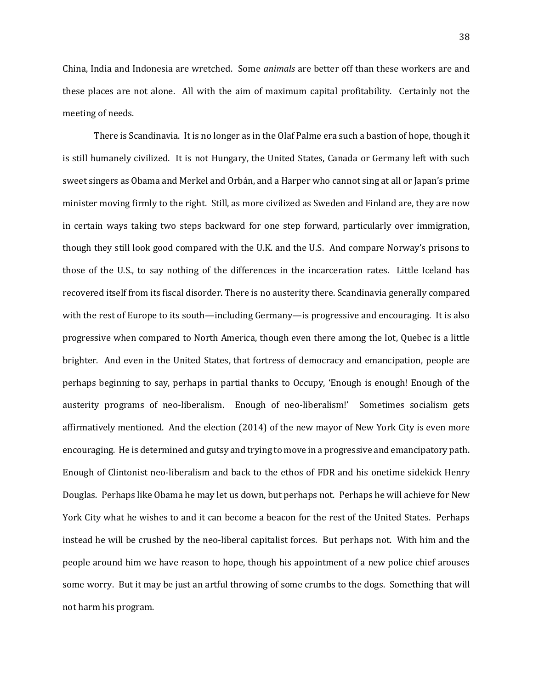China, India and Indonesia are wretched. Some *animals* are better off than these workers are and these places are not alone. All with the aim of maximum capital profitability. Certainly not the meeting of needs.

There is Scandinavia. It is no longer as in the Olaf Palme era such a bastion of hope, though it is still humanely civilized. It is not Hungary, the United States, Canada or Germany left with such sweet singers as Obama and Merkel and Orbán, and a Harper who cannot sing at all or Japan's prime minister moving firmly to the right. Still, as more civilized as Sweden and Finland are, they are now in certain ways taking two steps backward for one step forward, particularly over immigration, though they still look good compared with the U.K. and the U.S. And compare Norway's prisons to those of the U.S., to say nothing of the differences in the incarceration rates. Little Iceland has recovered itself from its fiscal disorder. There is no austerity there. Scandinavia generally compared with the rest of Europe to its south—including Germany—is progressive and encouraging. It is also progressive when compared to North America, though even there among the lot, Quebec is a little brighter. And even in the United States, that fortress of democracy and emancipation, people are perhaps beginning to say, perhaps in partial thanks to Occupy, 'Enough is enough! Enough of the austerity programs of neo-liberalism. Enough of neo-liberalism!' Sometimes socialism gets affirmatively mentioned. And the election (2014) of the new mayor of New York City is even more encouraging. He is determined and gutsy and trying to move in a progressive and emancipatory path. Enough of Clintonist neo-liberalism and back to the ethos of FDR and his onetime sidekick Henry Douglas. Perhaps like Obama he may let us down, but perhaps not. Perhaps he will achieve for New York City what he wishes to and it can become a beacon for the rest of the United States. Perhaps instead he will be crushed by the neo-liberal capitalist forces. But perhaps not. With him and the people around him we have reason to hope, though his appointment of a new police chief arouses some worry. But it may be just an artful throwing of some crumbs to the dogs. Something that will not harm his program.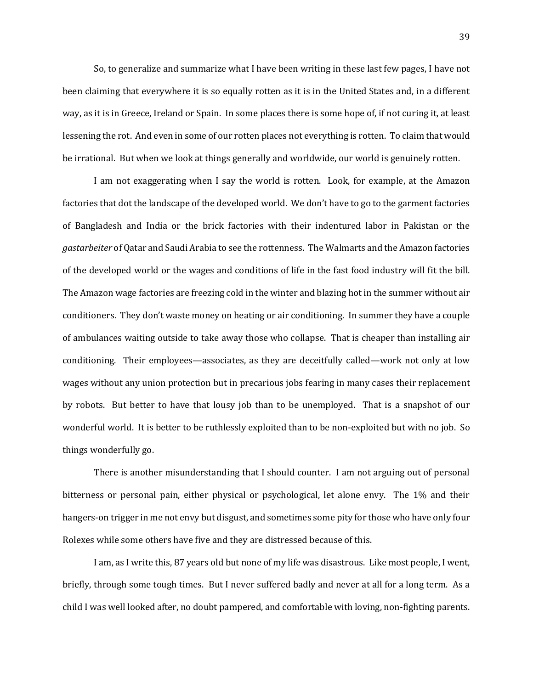So, to generalize and summarize what I have been writing in these last few pages, I have not been claiming that everywhere it is so equally rotten as it is in the United States and, in a different way, as it is in Greece, Ireland or Spain. In some places there is some hope of, if not curing it, at least lessening the rot. And even in some of our rotten places not everything is rotten. To claim that would be irrational. But when we look at things generally and worldwide, our world is genuinely rotten.

I am not exaggerating when I say the world is rotten. Look, for example, at the Amazon factories that dot the landscape of the developed world. We don't have to go to the garment factories of Bangladesh and India or the brick factories with their indentured labor in Pakistan or the *gastarbeiter* of Qatar and Saudi Arabia to see the rottenness. The Walmarts and the Amazon factories of the developed world or the wages and conditions of life in the fast food industry will fit the bill. The Amazon wage factories are freezing cold in the winter and blazing hot in the summer without air conditioners. They don't waste money on heating or air conditioning. In summer they have a couple of ambulances waiting outside to take away those who collapse. That is cheaper than installing air conditioning. Their employees—associates, as they are deceitfully called—work not only at low wages without any union protection but in precarious jobs fearing in many cases their replacement by robots. But better to have that lousy job than to be unemployed. That is a snapshot of our wonderful world. It is better to be ruthlessly exploited than to be non-exploited but with no job. So things wonderfully go.

There is another misunderstanding that I should counter. I am not arguing out of personal bitterness or personal pain, either physical or psychological, let alone envy. The 1% and their hangers-on trigger in me not envy but disgust, and sometimes some pity for those who have only four Rolexes while some others have five and they are distressed because of this.

I am, as I write this, 87 years old but none of my life was disastrous. Like most people, I went, briefly, through some tough times. But I never suffered badly and never at all for a long term. As a child I was well looked after, no doubt pampered, and comfortable with loving, non-fighting parents.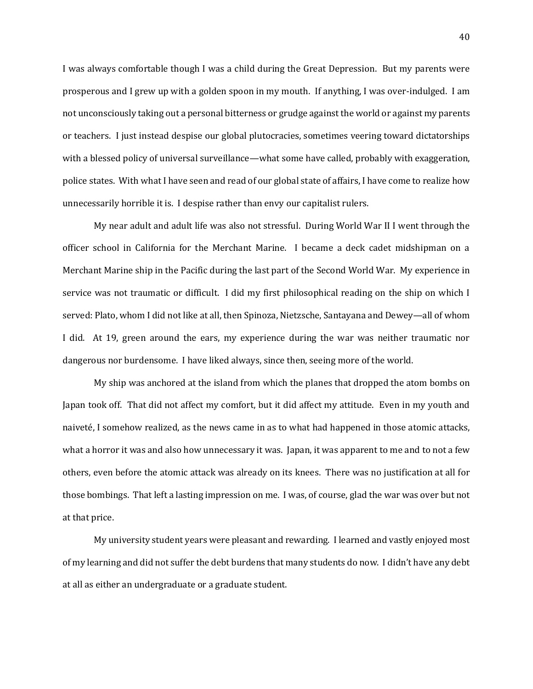I was always comfortable though I was a child during the Great Depression. But my parents were prosperous and I grew up with a golden spoon in my mouth. If anything, I was over-indulged. I am not unconsciously taking out a personal bitterness or grudge against the world or against my parents or teachers. I just instead despise our global plutocracies, sometimes veering toward dictatorships with a blessed policy of universal surveillance—what some have called, probably with exaggeration, police states. With what I have seen and read of our global state of affairs, I have come to realize how unnecessarily horrible it is. I despise rather than envy our capitalist rulers.

My near adult and adult life was also not stressful. During World War II I went through the officer school in California for the Merchant Marine. I became a deck cadet midshipman on a Merchant Marine ship in the Pacific during the last part of the Second World War. My experience in service was not traumatic or difficult. I did my first philosophical reading on the ship on which I served: Plato, whom I did not like at all, then Spinoza, Nietzsche, Santayana and Dewey—all of whom I did. At 19, green around the ears, my experience during the war was neither traumatic nor dangerous nor burdensome. I have liked always, since then, seeing more of the world.

My ship was anchored at the island from which the planes that dropped the atom bombs on Japan took off. That did not affect my comfort, but it did affect my attitude. Even in my youth and naiveté, I somehow realized, as the news came in as to what had happened in those atomic attacks, what a horror it was and also how unnecessary it was. Japan, it was apparent to me and to not a few others, even before the atomic attack was already on its knees. There was no justification at all for those bombings. That left a lasting impression on me. I was, of course, glad the war was over but not at that price.

My university student years were pleasant and rewarding. I learned and vastly enjoyed most of my learning and did not suffer the debt burdens that many students do now. I didn't have any debt at all as either an undergraduate or a graduate student.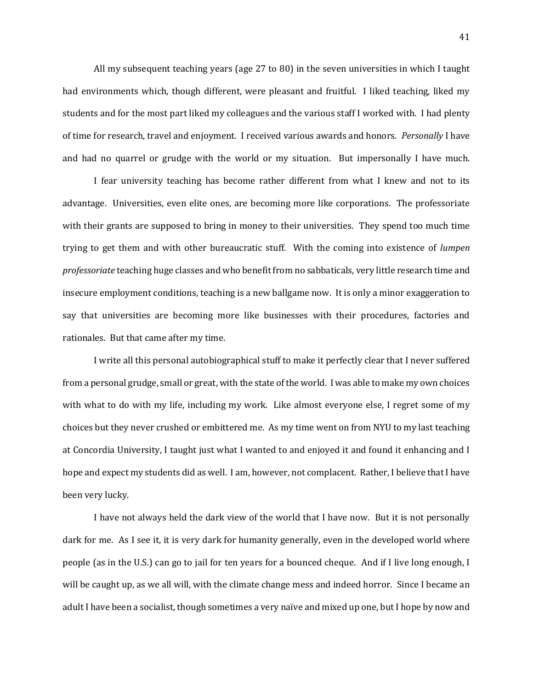All my subsequent teaching years (age 27 to 80) in the seven universities in which I taught had environments which, though different, were pleasant and fruitful. I liked teaching, liked my students and for the most part liked my colleagues and the various staff I worked with. I had plenty of time for research, travel and enjoyment. I received various awards and honors. *Personally* I have and had no quarrel or grudge with the world or my situation. But impersonally I have much.

I fear university teaching has become rather different from what I knew and not to its advantage. Universities, even elite ones, are becoming more like corporations. The professoriate with their grants are supposed to bring in money to their universities. They spend too much time trying to get them and with other bureaucratic stuff. With the coming into existence of *lumpen professoriate* teaching huge classes and who benefit from no sabbaticals, very little research time and insecure employment conditions, teaching is a new ballgame now. It is only a minor exaggeration to say that universities are becoming more like businesses with their procedures, factories and rationales. But that came after my time.

I write all this personal autobiographical stuff to make it perfectly clear that I never suffered from a personal grudge, small or great, with the state of the world. I was able to make my own choices with what to do with my life, including my work. Like almost everyone else, I regret some of my choices but they never crushed or embittered me. As my time went on from NYU to my last teaching at Concordia University, I taught just what I wanted to and enjoyed it and found it enhancing and I hope and expect my students did as well. I am, however, not complacent. Rather, I believe that I have been very lucky.

I have not always held the dark view of the world that I have now. But it is not personally dark for me. As I see it, it is very dark for humanity generally, even in the developed world where people (as in the U.S.) can go to jail for ten years for a bounced cheque. And if I live long enough, I will be caught up, as we all will, with the climate change mess and indeed horror. Since I became an adult I have been a socialist, though sometimes a very naïve and mixed up one, but I hope by now and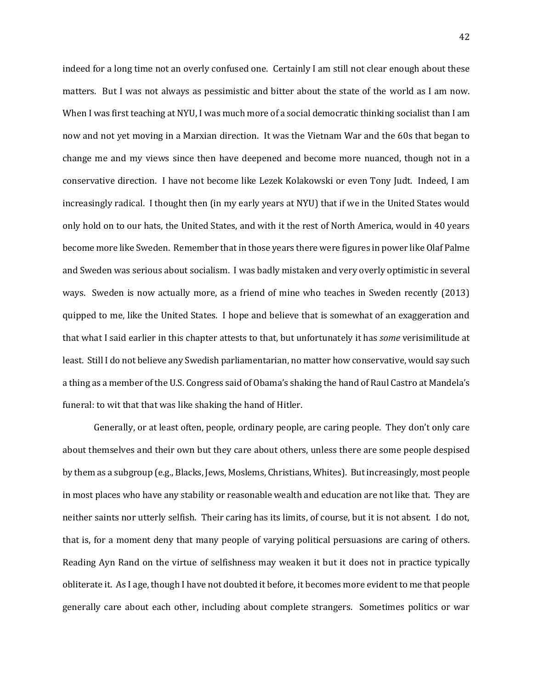indeed for a long time not an overly confused one. Certainly I am still not clear enough about these matters. But I was not always as pessimistic and bitter about the state of the world as I am now. When I was first teaching at NYU, I was much more of a social democratic thinking socialist than I am now and not yet moving in a Marxian direction. It was the Vietnam War and the 60s that began to change me and my views since then have deepened and become more nuanced, though not in a conservative direction. I have not become like Lezek Kolakowski or even Tony Judt. Indeed, I am increasingly radical. I thought then (in my early years at NYU) that if we in the United States would only hold on to our hats, the United States, and with it the rest of North America, would in 40 years become more like Sweden. Remember that in those years there were figures in power like Olaf Palme and Sweden was serious about socialism. I was badly mistaken and very overly optimistic in several ways. Sweden is now actually more, as a friend of mine who teaches in Sweden recently (2013) quipped to me, like the United States. I hope and believe that is somewhat of an exaggeration and that what I said earlier in this chapter attests to that, but unfortunately it has *some* verisimilitude at least. Still I do not believe any Swedish parliamentarian, no matter how conservative, would say such a thing as a member of the U.S. Congress said of Obama's shaking the hand of Raul Castro at Mandela's funeral: to wit that that was like shaking the hand of Hitler.

Generally, or at least often, people, ordinary people, are caring people. They don't only care about themselves and their own but they care about others, unless there are some people despised by them as a subgroup (e.g., Blacks, Jews, Moslems, Christians, Whites). But increasingly, most people in most places who have any stability or reasonable wealth and education are not like that. They are neither saints nor utterly selfish. Their caring has its limits, of course, but it is not absent. I do not, that is, for a moment deny that many people of varying political persuasions are caring of others. Reading Ayn Rand on the virtue of selfishness may weaken it but it does not in practice typically obliterate it. As I age, though I have not doubted it before, it becomes more evident to me that people generally care about each other, including about complete strangers. Sometimes politics or war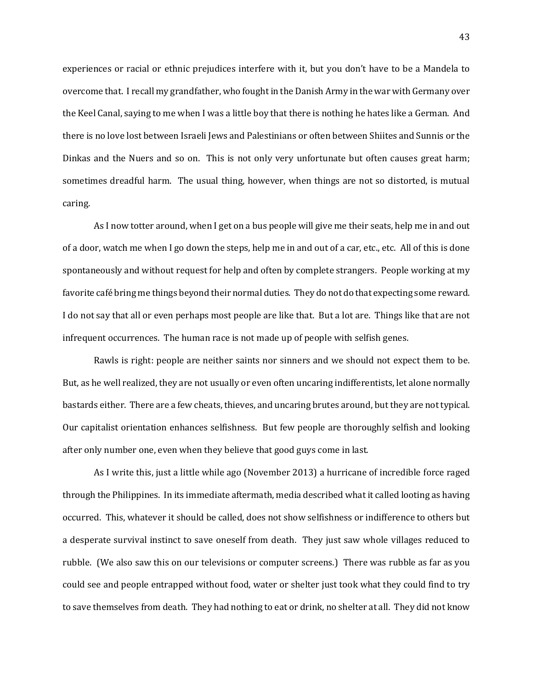experiences or racial or ethnic prejudices interfere with it, but you don't have to be a Mandela to overcome that. I recall my grandfather, who fought in the Danish Army in the war with Germany over the Keel Canal, saying to me when I was a little boy that there is nothing he hates like a German. And there is no love lost between Israeli Jews and Palestinians or often between Shiites and Sunnis or the Dinkas and the Nuers and so on. This is not only very unfortunate but often causes great harm; sometimes dreadful harm. The usual thing, however, when things are not so distorted, is mutual caring.

As I now totter around, when I get on a bus people will give me their seats, help me in and out of a door, watch me when I go down the steps, help me in and out of a car, etc., etc. All of this is done spontaneously and without request for help and often by complete strangers. People working at my favorite café bring me things beyond their normal duties. They do not do that expecting some reward. I do not say that all or even perhaps most people are like that. But a lot are. Things like that are not infrequent occurrences. The human race is not made up of people with selfish genes.

Rawls is right: people are neither saints nor sinners and we should not expect them to be. But, as he well realized, they are not usually or even often uncaring indifferentists, let alone normally bastards either. There are a few cheats, thieves, and uncaring brutes around, but they are not typical. Our capitalist orientation enhances selfishness. But few people are thoroughly selfish and looking after only number one, even when they believe that good guys come in last.

As I write this, just a little while ago (November 2013) a hurricane of incredible force raged through the Philippines. In its immediate aftermath, media described what it called looting as having occurred. This, whatever it should be called, does not show selfishness or indifference to others but a desperate survival instinct to save oneself from death. They just saw whole villages reduced to rubble. (We also saw this on our televisions or computer screens.) There was rubble as far as you could see and people entrapped without food, water or shelter just took what they could find to try to save themselves from death. They had nothing to eat or drink, no shelter at all. They did not know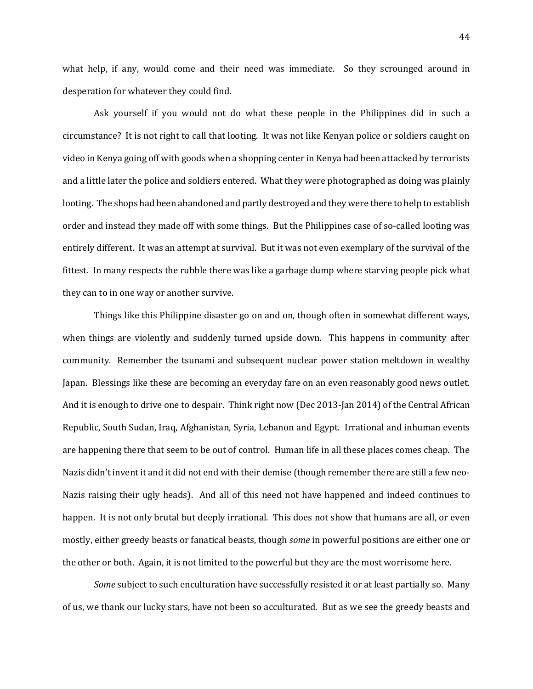what help, if any, would come and their need was immediate. So they scrounged around in desperation for whatever they could find.

Ask yourself if you would not do what these people in the Philippines did in such a circumstance? It is not right to call that looting. It was not like Kenyan police or soldiers caught on video in Kenya going off with goods when a shopping center in Kenya had been attacked by terrorists and a little later the police and soldiers entered. What they were photographed as doing was plainly looting. The shops had been abandoned and partly destroyed and they were there to help to establish order and instead they made off with some things. But the Philippines case of so-called looting was entirely different. It was an attempt at survival. But it was not even exemplary of the survival of the fittest. In many respects the rubble there was like a garbage dump where starving people pick what they can to in one way or another survive.

Things like this Philippine disaster go on and on, though often in somewhat different ways, when things are violently and suddenly turned upside down. This happens in community after community. Remember the tsunami and subsequent nuclear power station meltdown in wealthy Japan. Blessings like these are becoming an everyday fare on an even reasonably good news outlet. And it is enough to drive one to despair. Think right now (Dec 2013-Jan 2014) of the Central African Republic, South Sudan, Iraq, Afghanistan, Syria, Lebanon and Egypt. Irrational and inhuman events are happening there that seem to be out of control. Human life in all these places comes cheap. The Nazis didn't invent it and it did not end with their demise (though remember there are still a few neo-Nazis raising their ugly heads). And all of this need not have happened and indeed continues to happen. It is not only brutal but deeply irrational. This does not show that humans are all, or even mostly, either greedy beasts or fanatical beasts, though *some* in powerful positions are either one or the other or both. Again, it is not limited to the powerful but they are the most worrisome here.

*Some* subject to such enculturation have successfully resisted it or at least partially so. Many of us, we thank our lucky stars, have not been so acculturated. But as we see the greedy beasts and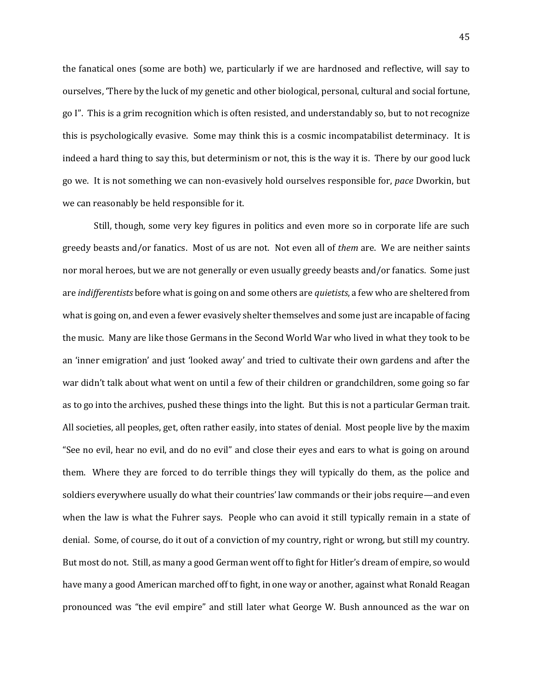the fanatical ones (some are both) we, particularly if we are hardnosed and reflective, will say to ourselves, 'There by the luck of my genetic and other biological, personal, cultural and social fortune, go I". This is a grim recognition which is often resisted, and understandably so, but to not recognize this is psychologically evasive. Some may think this is a cosmic incompatabilist determinacy. It is indeed a hard thing to say this, but determinism or not, this is the way it is. There by our good luck go we. It is not something we can non-evasively hold ourselves responsible for, *pace* Dworkin, but we can reasonably be held responsible for it.

Still, though, some very key figures in politics and even more so in corporate life are such greedy beasts and/or fanatics. Most of us are not. Not even all of *them* are. We are neither saints nor moral heroes, but we are not generally or even usually greedy beasts and/or fanatics. Some just are *indifferentists* before what is going on and some others are *quietists*, a few who are sheltered from what is going on, and even a fewer evasively shelter themselves and some just are incapable of facing the music. Many are like those Germans in the Second World War who lived in what they took to be an 'inner emigration' and just 'looked away' and tried to cultivate their own gardens and after the war didn't talk about what went on until a few of their children or grandchildren, some going so far as to go into the archives, pushed these things into the light. But this is not a particular German trait. All societies, all peoples, get, often rather easily, into states of denial. Most people live by the maxim "See no evil, hear no evil, and do no evil" and close their eyes and ears to what is going on around them. Where they are forced to do terrible things they will typically do them, as the police and soldiers everywhere usually do what their countries' law commands or their jobs require—and even when the law is what the Fuhrer says. People who can avoid it still typically remain in a state of denial. Some, of course, do it out of a conviction of my country, right or wrong, but still my country. But most do not. Still, as many a good German went off to fight for Hitler's dream of empire, so would have many a good American marched off to fight, in one way or another, against what Ronald Reagan pronounced was "the evil empire" and still later what George W. Bush announced as the war on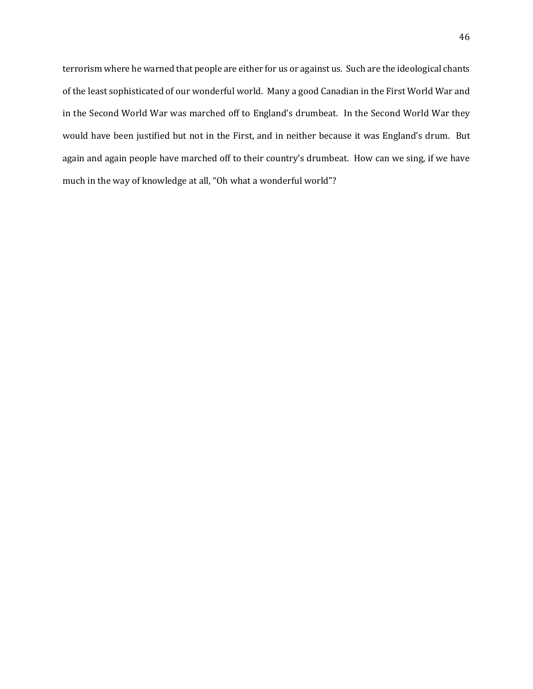terrorism where he warned that people are either for us or against us. Such are the ideological chants of the least sophisticated of our wonderful world. Many a good Canadian in the First World War and in the Second World War was marched off to England's drumbeat. In the Second World War they would have been justified but not in the First, and in neither because it was England's drum. But again and again people have marched off to their country's drumbeat. How can we sing, if we have much in the way of knowledge at all, "Oh what a wonderful world"?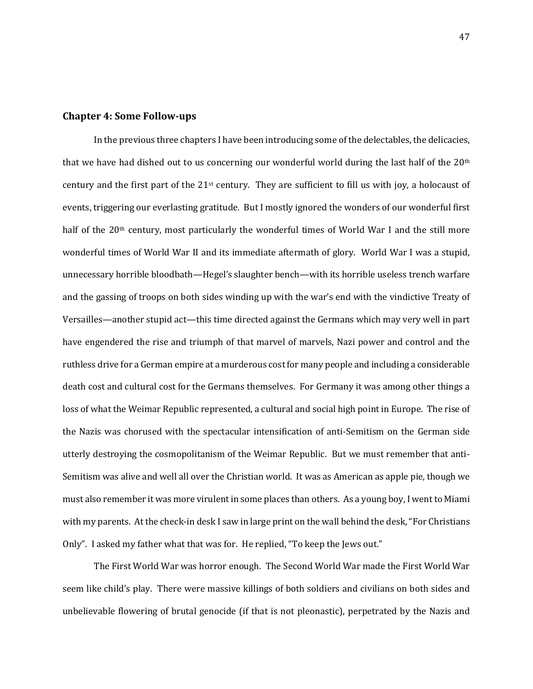#### **Chapter 4: Some Follow-ups**

In the previous three chapters I have been introducing some of the delectables, the delicacies, that we have had dished out to us concerning our wonderful world during the last half of the 20th century and the first part of the 21st century. They are sufficient to fill us with joy, a holocaust of events, triggering our everlasting gratitude. But I mostly ignored the wonders of our wonderful first half of the 20<sup>th</sup> century, most particularly the wonderful times of World War I and the still more wonderful times of World War II and its immediate aftermath of glory. World War I was a stupid, unnecessary horrible bloodbath—Hegel's slaughter bench—with its horrible useless trench warfare and the gassing of troops on both sides winding up with the war's end with the vindictive Treaty of Versailles—another stupid act—this time directed against the Germans which may very well in part have engendered the rise and triumph of that marvel of marvels, Nazi power and control and the ruthless drive for a German empire at a murderous cost for many people and including a considerable death cost and cultural cost for the Germans themselves. For Germany it was among other things a loss of what the Weimar Republic represented, a cultural and social high point in Europe. The rise of the Nazis was chorused with the spectacular intensification of anti-Semitism on the German side utterly destroying the cosmopolitanism of the Weimar Republic. But we must remember that anti-Semitism was alive and well all over the Christian world. It was as American as apple pie, though we must also remember it was more virulent in some places than others. As a young boy, I went to Miami with my parents. At the check-in desk I saw in large print on the wall behind the desk, "For Christians Only". I asked my father what that was for. He replied, "To keep the Jews out."

The First World War was horror enough. The Second World War made the First World War seem like child's play. There were massive killings of both soldiers and civilians on both sides and unbelievable flowering of brutal genocide (if that is not pleonastic), perpetrated by the Nazis and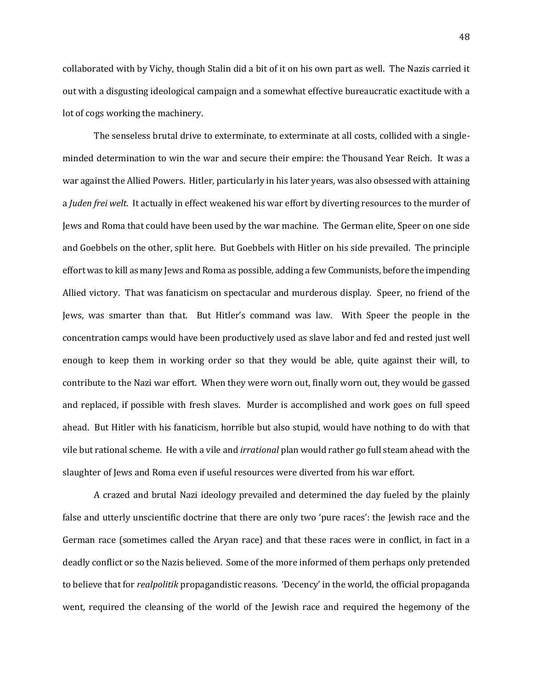collaborated with by Vichy, though Stalin did a bit of it on his own part as well. The Nazis carried it out with a disgusting ideological campaign and a somewhat effective bureaucratic exactitude with a lot of cogs working the machinery.

The senseless brutal drive to exterminate, to exterminate at all costs, collided with a singleminded determination to win the war and secure their empire: the Thousand Year Reich. It was a war against the Allied Powers. Hitler, particularly in his later years, was also obsessed with attaining a *Juden frei welt*. It actually in effect weakened his war effort by diverting resources to the murder of Jews and Roma that could have been used by the war machine. The German elite, Speer on one side and Goebbels on the other, split here. But Goebbels with Hitler on his side prevailed. The principle effort was to kill as many Jews and Roma as possible, adding a few Communists, before the impending Allied victory. That was fanaticism on spectacular and murderous display. Speer, no friend of the Jews, was smarter than that. But Hitler's command was law. With Speer the people in the concentration camps would have been productively used as slave labor and fed and rested just well enough to keep them in working order so that they would be able, quite against their will, to contribute to the Nazi war effort. When they were worn out, finally worn out, they would be gassed and replaced, if possible with fresh slaves. Murder is accomplished and work goes on full speed ahead. But Hitler with his fanaticism, horrible but also stupid, would have nothing to do with that vile but rational scheme. He with a vile and *irrational* plan would rather go full steam ahead with the slaughter of Jews and Roma even if useful resources were diverted from his war effort.

A crazed and brutal Nazi ideology prevailed and determined the day fueled by the plainly false and utterly unscientific doctrine that there are only two 'pure races': the Jewish race and the German race (sometimes called the Aryan race) and that these races were in conflict, in fact in a deadly conflict or so the Nazis believed. Some of the more informed of them perhaps only pretended to believe that for *realpolitik* propagandistic reasons. 'Decency' in the world, the official propaganda went, required the cleansing of the world of the Jewish race and required the hegemony of the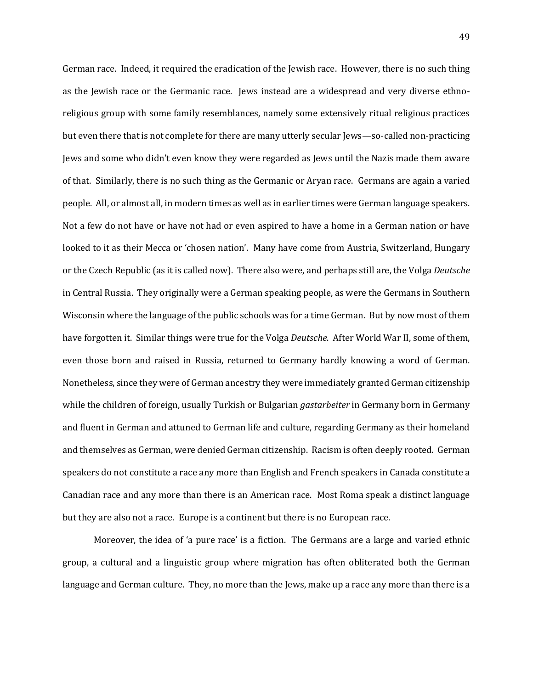German race. Indeed, it required the eradication of the Jewish race. However, there is no such thing as the Jewish race or the Germanic race. Jews instead are a widespread and very diverse ethnoreligious group with some family resemblances, namely some extensively ritual religious practices but even there that is not complete for there are many utterly secular Jews—so-called non-practicing Jews and some who didn't even know they were regarded as Jews until the Nazis made them aware of that. Similarly, there is no such thing as the Germanic or Aryan race. Germans are again a varied people. All, or almost all, in modern times as well as in earlier times were German language speakers. Not a few do not have or have not had or even aspired to have a home in a German nation or have looked to it as their Mecca or 'chosen nation'. Many have come from Austria, Switzerland, Hungary or the Czech Republic (as it is called now). There also were, and perhaps still are, the Volga *Deutsche* in Central Russia. They originally were a German speaking people, as were the Germans in Southern Wisconsin where the language of the public schools was for a time German. But by now most of them have forgotten it. Similar things were true for the Volga *Deutsche*. After World War II, some of them, even those born and raised in Russia, returned to Germany hardly knowing a word of German. Nonetheless, since they were of German ancestry they were immediately granted German citizenship while the children of foreign, usually Turkish or Bulgarian *gastarbeiter* in Germany born in Germany and fluent in German and attuned to German life and culture, regarding Germany as their homeland and themselves as German, were denied German citizenship. Racism is often deeply rooted. German speakers do not constitute a race any more than English and French speakers in Canada constitute a Canadian race and any more than there is an American race. Most Roma speak a distinct language but they are also not a race. Europe is a continent but there is no European race.

Moreover, the idea of 'a pure race' is a fiction. The Germans are a large and varied ethnic group, a cultural and a linguistic group where migration has often obliterated both the German language and German culture. They, no more than the Jews, make up a race any more than there is a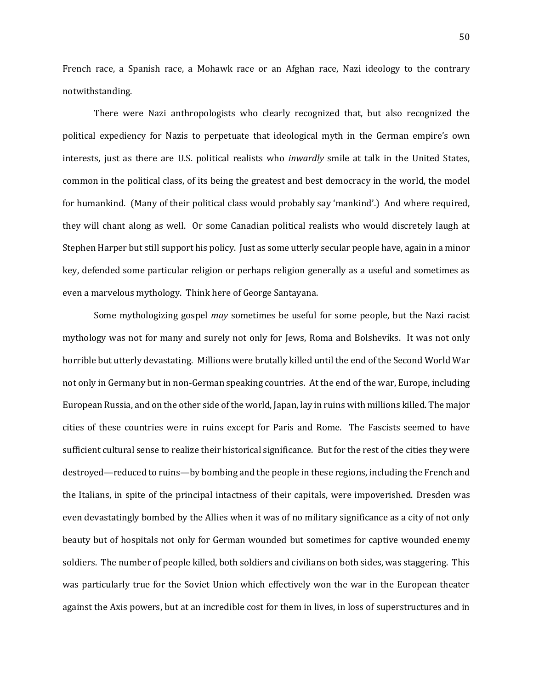French race, a Spanish race, a Mohawk race or an Afghan race, Nazi ideology to the contrary notwithstanding.

There were Nazi anthropologists who clearly recognized that, but also recognized the political expediency for Nazis to perpetuate that ideological myth in the German empire's own interests, just as there are U.S. political realists who *inwardly* smile at talk in the United States, common in the political class, of its being the greatest and best democracy in the world, the model for humankind. (Many of their political class would probably say 'mankind'.) And where required, they will chant along as well. Or some Canadian political realists who would discretely laugh at Stephen Harper but still support his policy. Just as some utterly secular people have, again in a minor key, defended some particular religion or perhaps religion generally as a useful and sometimes as even a marvelous mythology. Think here of George Santayana.

Some mythologizing gospel *may* sometimes be useful for some people, but the Nazi racist mythology was not for many and surely not only for Jews, Roma and Bolsheviks. It was not only horrible but utterly devastating. Millions were brutally killed until the end of the Second World War not only in Germany but in non-German speaking countries. At the end of the war, Europe, including European Russia, and on the other side of the world, Japan, lay in ruins with millions killed. The major cities of these countries were in ruins except for Paris and Rome. The Fascists seemed to have sufficient cultural sense to realize their historical significance. But for the rest of the cities they were destroyed—reduced to ruins—by bombing and the people in these regions, including the French and the Italians, in spite of the principal intactness of their capitals, were impoverished. Dresden was even devastatingly bombed by the Allies when it was of no military significance as a city of not only beauty but of hospitals not only for German wounded but sometimes for captive wounded enemy soldiers. The number of people killed, both soldiers and civilians on both sides, was staggering. This was particularly true for the Soviet Union which effectively won the war in the European theater against the Axis powers, but at an incredible cost for them in lives, in loss of superstructures and in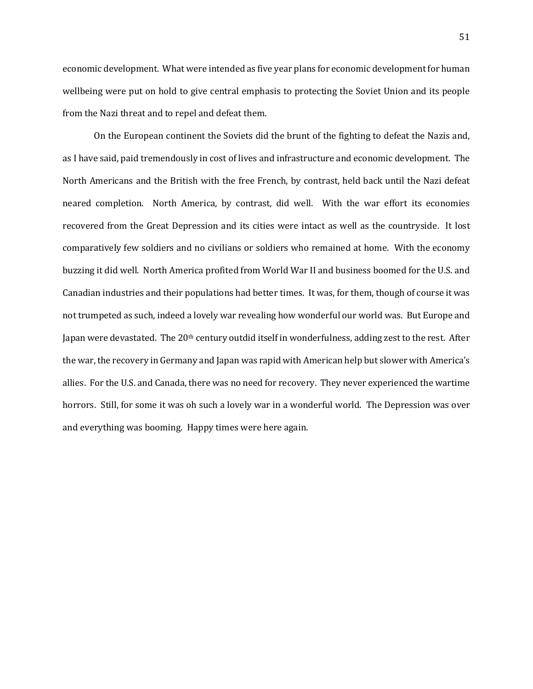economic development. What were intended as five year plans for economic development for human wellbeing were put on hold to give central emphasis to protecting the Soviet Union and its people from the Nazi threat and to repel and defeat them.

On the European continent the Soviets did the brunt of the fighting to defeat the Nazis and, as I have said, paid tremendously in cost of lives and infrastructure and economic development. The North Americans and the British with the free French, by contrast, held back until the Nazi defeat neared completion. North America, by contrast, did well. With the war effort its economies recovered from the Great Depression and its cities were intact as well as the countryside. It lost comparatively few soldiers and no civilians or soldiers who remained at home. With the economy buzzing it did well. North America profited from World War II and business boomed for the U.S. and Canadian industries and their populations had better times. It was, for them, though of course it was not trumpeted as such, indeed a lovely war revealing how wonderful our world was. But Europe and Japan were devastated. The 20<sup>th</sup> century outdid itself in wonderfulness, adding zest to the rest. After the war, the recovery in Germany and Japan was rapid with American help but slower with America's allies. For the U.S. and Canada, there was no need for recovery. They never experienced the wartime horrors. Still, for some it was oh such a lovely war in a wonderful world. The Depression was over and everything was booming. Happy times were here again.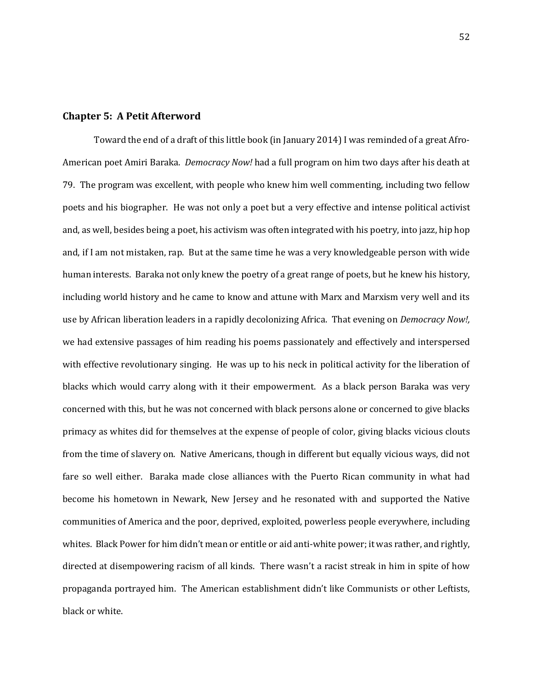#### **Chapter 5: A Petit Afterword**

Toward the end of a draft of this little book (in January 2014) I was reminded of a great Afro-American poet Amiri Baraka. *Democracy Now!* had a full program on him two days after his death at 79. The program was excellent, with people who knew him well commenting, including two fellow poets and his biographer. He was not only a poet but a very effective and intense political activist and, as well, besides being a poet, his activism was often integrated with his poetry, into jazz, hip hop and, if I am not mistaken, rap. But at the same time he was a very knowledgeable person with wide human interests. Baraka not only knew the poetry of a great range of poets, but he knew his history, including world history and he came to know and attune with Marx and Marxism very well and its use by African liberation leaders in a rapidly decolonizing Africa. That evening on *Democracy Now!,*  we had extensive passages of him reading his poems passionately and effectively and interspersed with effective revolutionary singing. He was up to his neck in political activity for the liberation of blacks which would carry along with it their empowerment. As a black person Baraka was very concerned with this, but he was not concerned with black persons alone or concerned to give blacks primacy as whites did for themselves at the expense of people of color, giving blacks vicious clouts from the time of slavery on. Native Americans, though in different but equally vicious ways, did not fare so well either. Baraka made close alliances with the Puerto Rican community in what had become his hometown in Newark, New Jersey and he resonated with and supported the Native communities of America and the poor, deprived, exploited, powerless people everywhere, including whites. Black Power for him didn't mean or entitle or aid anti-white power; it was rather, and rightly, directed at disempowering racism of all kinds. There wasn't a racist streak in him in spite of how propaganda portrayed him. The American establishment didn't like Communists or other Leftists, black or white.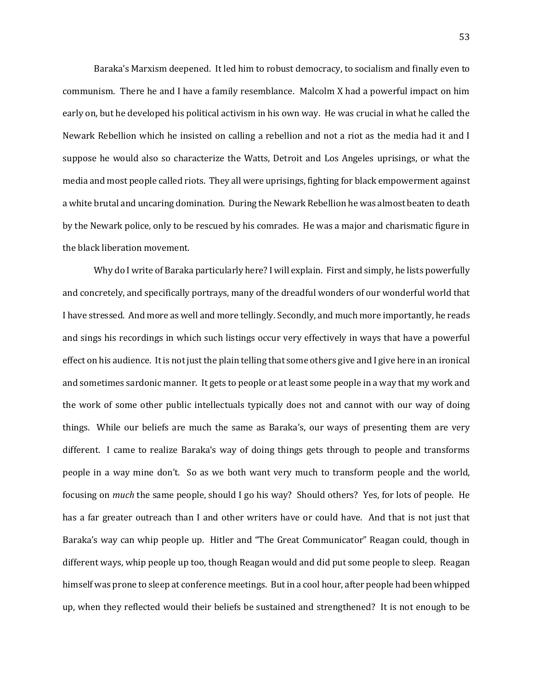Baraka's Marxism deepened. It led him to robust democracy, to socialism and finally even to communism. There he and I have a family resemblance. Malcolm X had a powerful impact on him early on, but he developed his political activism in his own way. He was crucial in what he called the Newark Rebellion which he insisted on calling a rebellion and not a riot as the media had it and I suppose he would also so characterize the Watts, Detroit and Los Angeles uprisings, or what the media and most people called riots. They all were uprisings, fighting for black empowerment against a white brutal and uncaring domination. During the Newark Rebellion he was almost beaten to death by the Newark police, only to be rescued by his comrades. He was a major and charismatic figure in the black liberation movement.

Why do I write of Baraka particularly here? I will explain. First and simply, he lists powerfully and concretely, and specifically portrays, many of the dreadful wonders of our wonderful world that I have stressed. And more as well and more tellingly. Secondly, and much more importantly, he reads and sings his recordings in which such listings occur very effectively in ways that have a powerful effect on his audience. It is not just the plain telling that some others give and I give here in an ironical and sometimes sardonic manner. It gets to people or at least some people in a way that my work and the work of some other public intellectuals typically does not and cannot with our way of doing things. While our beliefs are much the same as Baraka's, our ways of presenting them are very different. I came to realize Baraka's way of doing things gets through to people and transforms people in a way mine don't. So as we both want very much to transform people and the world, focusing on *much* the same people, should I go his way? Should others? Yes, for lots of people. He has a far greater outreach than I and other writers have or could have. And that is not just that Baraka's way can whip people up. Hitler and "The Great Communicator" Reagan could, though in different ways, whip people up too, though Reagan would and did put some people to sleep. Reagan himself was prone to sleep at conference meetings. But in a cool hour, after people had been whipped up, when they reflected would their beliefs be sustained and strengthened? It is not enough to be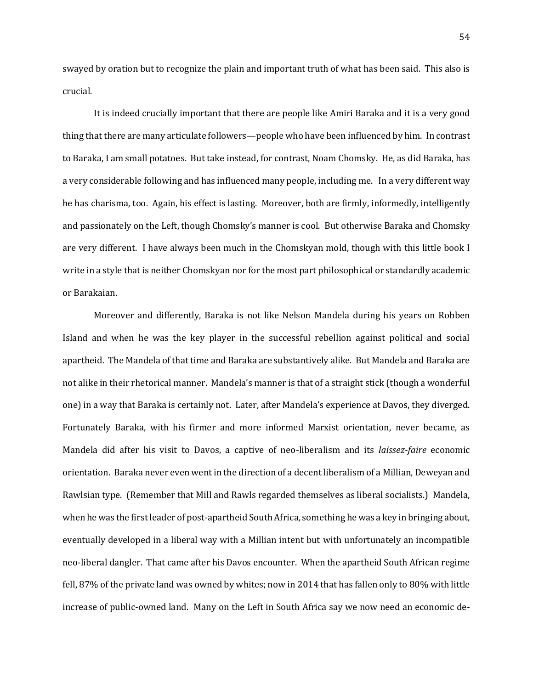swayed by oration but to recognize the plain and important truth of what has been said. This also is crucial.

It is indeed crucially important that there are people like Amiri Baraka and it is a very good thing that there are many articulate followers—people who have been influenced by him. In contrast to Baraka, I am small potatoes. But take instead, for contrast, Noam Chomsky. He, as did Baraka, has a very considerable following and has influenced many people, including me. In a very different way he has charisma, too. Again, his effect is lasting. Moreover, both are firmly, informedly, intelligently and passionately on the Left, though Chomsky's manner is cool. But otherwise Baraka and Chomsky are very different. I have always been much in the Chomskyan mold, though with this little book I write in a style that is neither Chomskyan nor for the most part philosophical or standardly academic or Barakaian.

Moreover and differently, Baraka is not like Nelson Mandela during his years on Robben Island and when he was the key player in the successful rebellion against political and social apartheid. The Mandela of that time and Baraka are substantively alike. But Mandela and Baraka are not alike in their rhetorical manner. Mandela's manner is that of a straight stick (though a wonderful one) in a way that Baraka is certainly not. Later, after Mandela's experience at Davos, they diverged. Fortunately Baraka, with his firmer and more informed Marxist orientation, never became, as Mandela did after his visit to Davos, a captive of neo-liberalism and its *laissez-faire* economic orientation. Baraka never even went in the direction of a decent liberalism of a Millian, Deweyan and Rawlsian type. (Remember that Mill and Rawls regarded themselves as liberal socialists.) Mandela, when he was the first leader of post-apartheid South Africa, something he was a key in bringing about, eventually developed in a liberal way with a Millian intent but with unfortunately an incompatible neo-liberal dangler. That came after his Davos encounter. When the apartheid South African regime fell, 87% of the private land was owned by whites; now in 2014 that has fallen only to 80% with little increase of public-owned land. Many on the Left in South Africa say we now need an economic de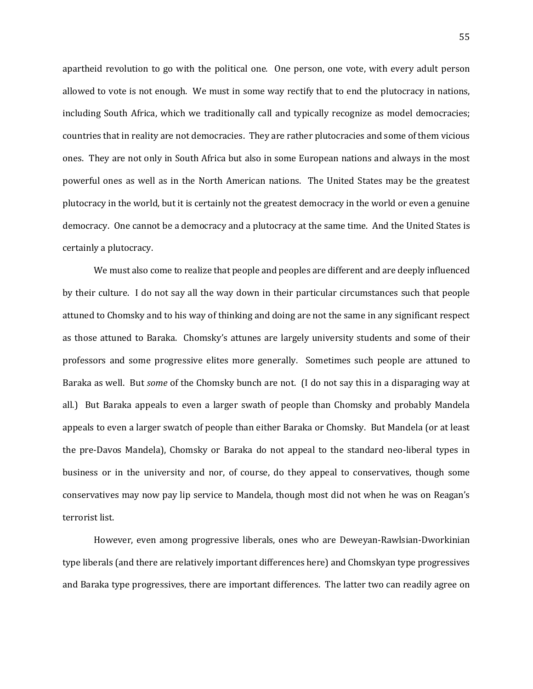apartheid revolution to go with the political one. One person, one vote, with every adult person allowed to vote is not enough. We must in some way rectify that to end the plutocracy in nations, including South Africa, which we traditionally call and typically recognize as model democracies; countries that in reality are not democracies. They are rather plutocracies and some of them vicious ones. They are not only in South Africa but also in some European nations and always in the most powerful ones as well as in the North American nations. The United States may be the greatest plutocracy in the world, but it is certainly not the greatest democracy in the world or even a genuine democracy. One cannot be a democracy and a plutocracy at the same time. And the United States is certainly a plutocracy.

We must also come to realize that people and peoples are different and are deeply influenced by their culture. I do not say all the way down in their particular circumstances such that people attuned to Chomsky and to his way of thinking and doing are not the same in any significant respect as those attuned to Baraka. Chomsky's attunes are largely university students and some of their professors and some progressive elites more generally. Sometimes such people are attuned to Baraka as well. But *some* of the Chomsky bunch are not. (I do not say this in a disparaging way at all.) But Baraka appeals to even a larger swath of people than Chomsky and probably Mandela appeals to even a larger swatch of people than either Baraka or Chomsky. But Mandela (or at least the pre-Davos Mandela), Chomsky or Baraka do not appeal to the standard neo-liberal types in business or in the university and nor, of course, do they appeal to conservatives, though some conservatives may now pay lip service to Mandela, though most did not when he was on Reagan's terrorist list.

However, even among progressive liberals, ones who are Deweyan-Rawlsian-Dworkinian type liberals (and there are relatively important differences here) and Chomskyan type progressives and Baraka type progressives, there are important differences. The latter two can readily agree on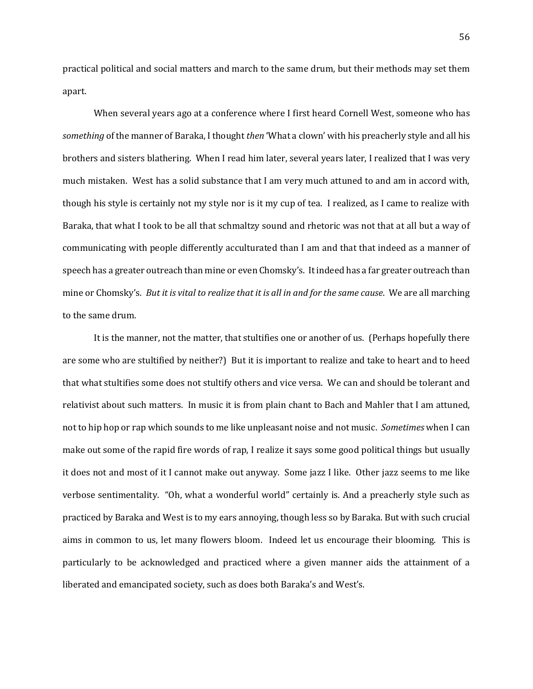practical political and social matters and march to the same drum, but their methods may set them apart.

When several years ago at a conference where I first heard Cornell West, someone who has *something* of the manner of Baraka, I thought *then* 'What a clown' with his preacherly style and all his brothers and sisters blathering. When I read him later, several years later, I realized that I was very much mistaken. West has a solid substance that I am very much attuned to and am in accord with, though his style is certainly not my style nor is it my cup of tea. I realized, as I came to realize with Baraka, that what I took to be all that schmaltzy sound and rhetoric was not that at all but a way of communicating with people differently acculturated than I am and that that indeed as a manner of speech has a greater outreach than mine or even Chomsky's. It indeed has a far greater outreach than mine or Chomsky's. *But it is vital to realize that it is all in and for the same cause*. We are all marching to the same drum.

It is the manner, not the matter, that stultifies one or another of us. (Perhaps hopefully there are some who are stultified by neither?) But it is important to realize and take to heart and to heed that what stultifies some does not stultify others and vice versa. We can and should be tolerant and relativist about such matters. In music it is from plain chant to Bach and Mahler that I am attuned, not to hip hop or rap which sounds to me like unpleasant noise and not music. *Sometimes* when I can make out some of the rapid fire words of rap, I realize it says some good political things but usually it does not and most of it I cannot make out anyway. Some jazz I like. Other jazz seems to me like verbose sentimentality. "Oh, what a wonderful world" certainly is. And a preacherly style such as practiced by Baraka and West is to my ears annoying, though less so by Baraka. But with such crucial aims in common to us, let many flowers bloom. Indeed let us encourage their blooming. This is particularly to be acknowledged and practiced where a given manner aids the attainment of a liberated and emancipated society, such as does both Baraka's and West's.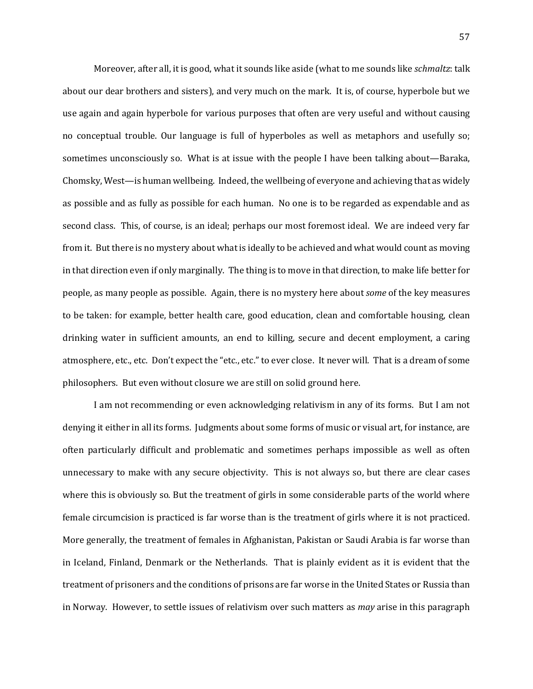Moreover, after all, it is good, what it sounds like aside (what to me sounds like *schmaltz*: talk about our dear brothers and sisters), and very much on the mark. It is, of course, hyperbole but we use again and again hyperbole for various purposes that often are very useful and without causing no conceptual trouble. Our language is full of hyperboles as well as metaphors and usefully so; sometimes unconsciously so. What is at issue with the people I have been talking about—Baraka, Chomsky, West—is human wellbeing. Indeed, the wellbeing of everyone and achieving that as widely as possible and as fully as possible for each human. No one is to be regarded as expendable and as second class. This, of course, is an ideal; perhaps our most foremost ideal. We are indeed very far from it. But there is no mystery about what is ideally to be achieved and what would count as moving in that direction even if only marginally. The thing is to move in that direction, to make life better for people, as many people as possible. Again, there is no mystery here about *some* of the key measures to be taken: for example, better health care, good education, clean and comfortable housing, clean drinking water in sufficient amounts, an end to killing, secure and decent employment, a caring atmosphere, etc., etc. Don't expect the "etc., etc." to ever close. It never will. That is a dream of some philosophers. But even without closure we are still on solid ground here.

I am not recommending or even acknowledging relativism in any of its forms. But I am not denying it either in all its forms. Judgments about some forms of music or visual art, for instance, are often particularly difficult and problematic and sometimes perhaps impossible as well as often unnecessary to make with any secure objectivity. This is not always so, but there are clear cases where this is obviously so. But the treatment of girls in some considerable parts of the world where female circumcision is practiced is far worse than is the treatment of girls where it is not practiced. More generally, the treatment of females in Afghanistan, Pakistan or Saudi Arabia is far worse than in Iceland, Finland, Denmark or the Netherlands. That is plainly evident as it is evident that the treatment of prisoners and the conditions of prisons are far worse in the United States or Russia than in Norway. However, to settle issues of relativism over such matters as *may* arise in this paragraph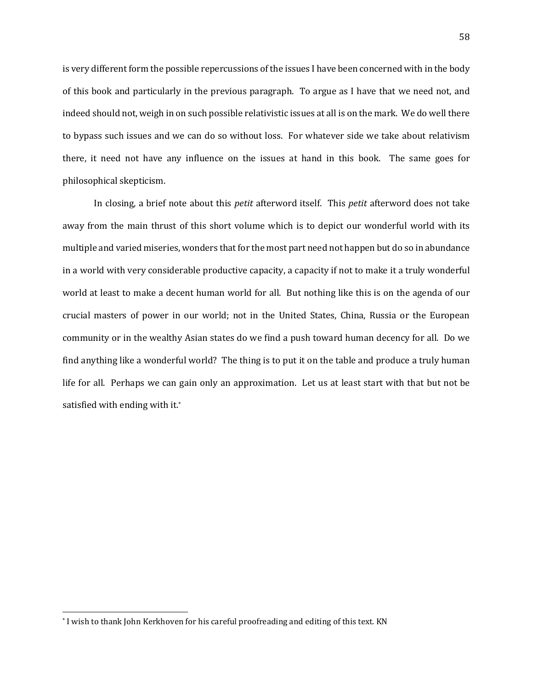is very different form the possible repercussions of the issues I have been concerned with in the body of this book and particularly in the previous paragraph. To argue as I have that we need not, and indeed should not, weigh in on such possible relativistic issues at all is on the mark. We do well there to bypass such issues and we can do so without loss. For whatever side we take about relativism there, it need not have any influence on the issues at hand in this book. The same goes for philosophical skepticism.

In closing, a brief note about this *petit* afterword itself. This *petit* afterword does not take away from the main thrust of this short volume which is to depict our wonderful world with its multiple and varied miseries, wonders that for the most part need not happen but do so in abundance in a world with very considerable productive capacity, a capacity if not to make it a truly wonderful world at least to make a decent human world for all. But nothing like this is on the agenda of our crucial masters of power in our world; not in the United States, China, Russia or the European community or in the wealthy Asian states do we find a push toward human decency for all. Do we find anything like a wonderful world? The thing is to put it on the table and produce a truly human life for all. Perhaps we can gain only an approximation. Let us at least start with that but not be satisfied with ending with it.\*

l

<sup>\*</sup> I wish to thank John Kerkhoven for his careful proofreading and editing of this text. KN